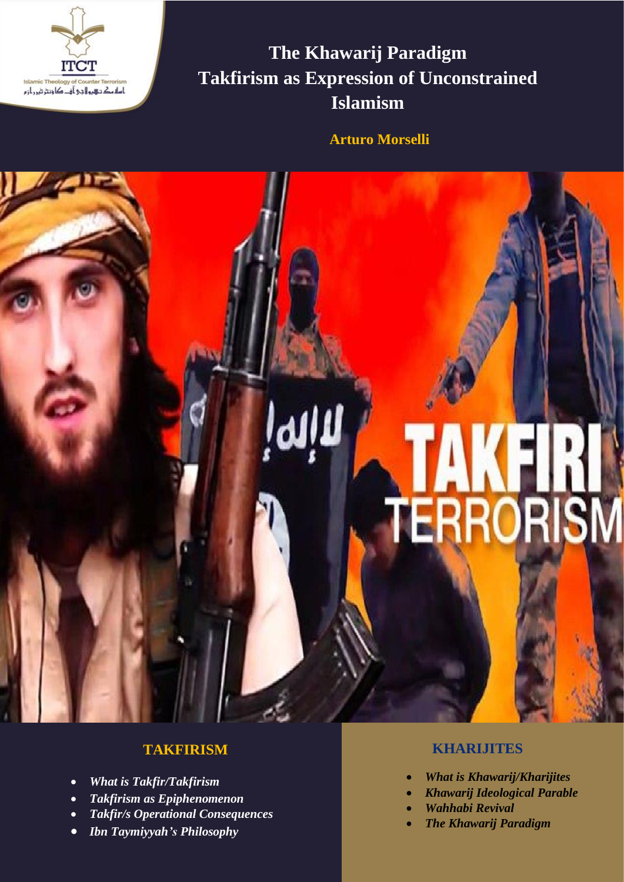

**The Khawarij Paradigm Takfirism as Expression of Unconstrained Islamism**

**Arturo Morselli**

# **TAKFIRI**<br>TERRORISM

# **TAKFIRISM**

- *What is Takfir/Takfirism*
- *Takfirism as Epiphenomenon*
- *Takfir/s Operational Consequences*
- *Ibn Taymiyyah's Philosophy*

## **KHARIJITES**

- *What is Khawarij/Kharijites*
- *Khawarij Ideological Parable*
- *Wahhabi Revival*
- *The Khawarij Paradigm*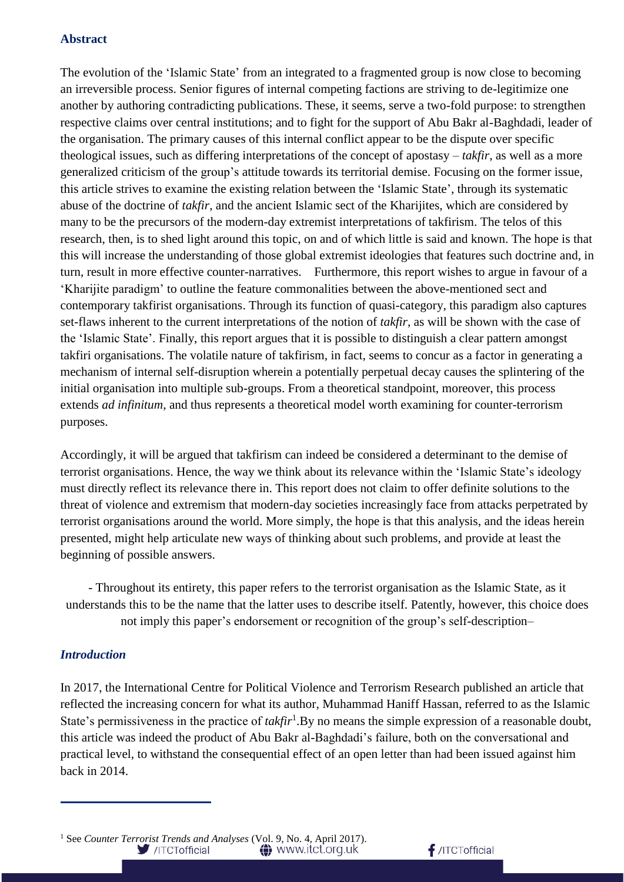### **Abstract**

The evolution of the 'Islamic State' from an integrated to a fragmented group is now close to becoming an irreversible process. Senior figures of internal competing factions are striving to de-legitimize one another by authoring contradicting publications. These, it seems, serve a two-fold purpose: to strengthen respective claims over central institutions; and to fight for the support of Abu Bakr al-Baghdadi, leader of the organisation. The primary causes of this internal conflict appear to be the dispute over specific theological issues, such as differing interpretations of the concept of apostasy – *takfir*, as well as a more generalized criticism of the group's attitude towards its territorial demise. Focusing on the former issue, this article strives to examine the existing relation between the 'Islamic State', through its systematic abuse of the doctrine of *takfir*, and the ancient Islamic sect of the Kharijites, which are considered by many to be the precursors of the modern-day extremist interpretations of takfirism. The telos of this research, then, is to shed light around this topic, on and of which little is said and known. The hope is that this will increase the understanding of those global extremist ideologies that features such doctrine and, in turn, result in more effective counter-narratives. Furthermore, this report wishes to argue in favour of a 'Kharijite paradigm' to outline the feature commonalities between the above-mentioned sect and contemporary takfirist organisations. Through its function of quasi-category, this paradigm also captures set-flaws inherent to the current interpretations of the notion of *takfir*, as will be shown with the case of the 'Islamic State'. Finally, this report argues that it is possible to distinguish a clear pattern amongst takfiri organisations. The volatile nature of takfirism, in fact, seems to concur as a factor in generating a mechanism of internal self-disruption wherein a potentially perpetual decay causes the splintering of the initial organisation into multiple sub-groups. From a theoretical standpoint, moreover, this process extends *ad infinitum*, and thus represents a theoretical model worth examining for counter-terrorism purposes.

Accordingly, it will be argued that takfirism can indeed be considered a determinant to the demise of terrorist organisations. Hence, the way we think about its relevance within the 'Islamic State's ideology must directly reflect its relevance there in. This report does not claim to offer definite solutions to the threat of violence and extremism that modern-day societies increasingly face from attacks perpetrated by terrorist organisations around the world. More simply, the hope is that this analysis, and the ideas herein presented, might help articulate new ways of thinking about such problems, and provide at least the beginning of possible answers.

- Throughout its entirety, this paper refers to the terrorist organisation as the Islamic State, as it understands this to be the name that the latter uses to describe itself. Patently, however, this choice does not imply this paper's endorsement or recognition of the group's self-description–

### *Introduction*

In 2017, the International Centre for Political Violence and Terrorism Research published an article that reflected the increasing concern for what its author, Muhammad Haniff Hassan, referred to as the Islamic State's permissiveness in the practice of *takfir*<sup>1</sup>. By no means the simple expression of a reasonable doubt, this article was indeed the product of Abu Bakr al-Baghdadi's failure, both on the conversational and practical level, to withstand the consequential effect of an open letter than had been issued against him back in 2014.

 $f$ /ITCTofficial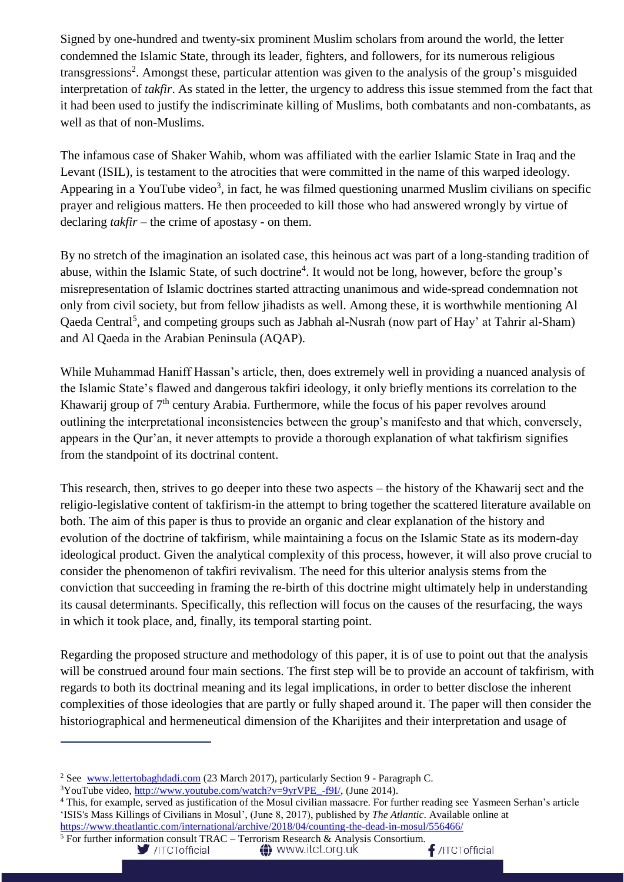Signed by one-hundred and twenty-six prominent Muslim scholars from around the world, the letter condemned the Islamic State, through its leader, fighters, and followers, for its numerous religious transgressions<sup>2</sup>. Amongst these, particular attention was given to the analysis of the group's misguided interpretation of *takfir*. As stated in the letter, the urgency to address this issue stemmed from the fact that it had been used to justify the indiscriminate killing of Muslims, both combatants and non-combatants, as well as that of non-Muslims.

The infamous case of Shaker Wahib, whom was affiliated with the earlier Islamic State in Iraq and the Levant (ISIL), is testament to the atrocities that were committed in the name of this warped ideology. Appearing in a YouTube video<sup>3</sup>, in fact, he was filmed questioning unarmed Muslim civilians on specific prayer and religious matters. He then proceeded to kill those who had answered wrongly by virtue of declaring *takfir* – the crime of apostasy - on them.

By no stretch of the imagination an isolated case, this heinous act was part of a long-standing tradition of abuse, within the Islamic State, of such doctrine<sup>4</sup>. It would not be long, however, before the group's misrepresentation of Islamic doctrines started attracting unanimous and wide-spread condemnation not only from civil society, but from fellow jihadists as well. Among these, it is worthwhile mentioning Al Qaeda Central<sup>5</sup>, and competing groups such as Jabhah al-Nusrah (now part of Hay' at Tahrir al-Sham) and Al Qaeda in the Arabian Peninsula (AQAP).

While Muhammad Haniff Hassan's article, then, does extremely well in providing a nuanced analysis of the Islamic State's flawed and dangerous takfiri ideology, it only briefly mentions its correlation to the Khawarii group of  $7<sup>th</sup>$  century Arabia. Furthermore, while the focus of his paper revolves around outlining the interpretational inconsistencies between the group's manifesto and that which, conversely, appears in the Qur'an, it never attempts to provide a thorough explanation of what takfirism signifies from the standpoint of its doctrinal content.

This research, then, strives to go deeper into these two aspects – the history of the Khawarij sect and the religio-legislative content of takfirism-in the attempt to bring together the scattered literature available on both. The aim of this paper is thus to provide an organic and clear explanation of the history and evolution of the doctrine of takfirism, while maintaining a focus on the Islamic State as its modern-day ideological product. Given the analytical complexity of this process, however, it will also prove crucial to consider the phenomenon of takfiri revivalism. The need for this ulterior analysis stems from the conviction that succeeding in framing the re-birth of this doctrine might ultimately help in understanding its causal determinants. Specifically, this reflection will focus on the causes of the resurfacing, the ways in which it took place, and, finally, its temporal starting point.

Regarding the proposed structure and methodology of this paper, it is of use to point out that the analysis will be construed around four main sections. The first step will be to provide an account of takfirism, with regards to both its doctrinal meaning and its legal implications, in order to better disclose the inherent complexities of those ideologies that are partly or fully shaped around it. The paper will then consider the historiographical and hermeneutical dimension of the Kharijites and their interpretation and usage of

/ITCTofficial

**△** www.itct.org.uk

<sup>&</sup>lt;sup>2</sup> See [www.lettertobaghdadi.com](http://www.lettertobaghdadi.com/) (23 March 2017), particularly Section 9 - Paragraph C.

 $3$ YouTube video, [http://www.youtube.com/watch?v=9yrVPE\\_-f9I/,](http://www.youtube.com/watch?v=9yrVPE_-f9I/) (June 2014).

<sup>4</sup> This, for example, served as justification of the Mosul civilian massacre. For further reading see Yasmeen Serhan's article 'ISIS's Mass Killings of Civilians in Mosul', (June 8, 2017), published by *The Atlantic*. Available online at

<https://www.theatlantic.com/international/archive/2018/04/counting-the-dead-in-mosul/556466/> <sup>5</sup> For further information consult TRAC – Terrorism Research & Analysis Consortium.<br> $\bigcup_{\text{JTCTofficial}}$  /ITCTofficial  $\bigoplus_{\text{JTCTofficial}}$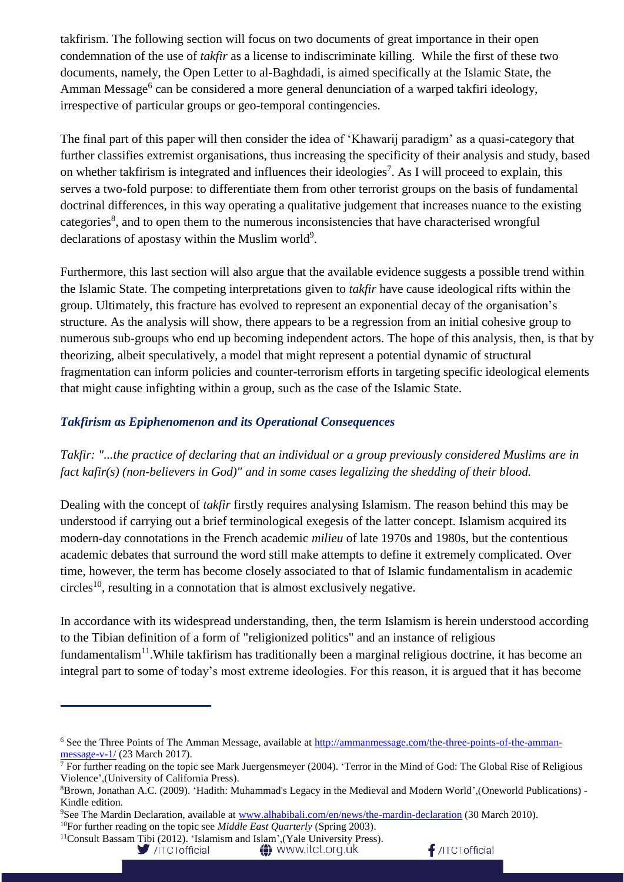takfirism. The following section will focus on two documents of great importance in their open condemnation of the use of *takfir* as a license to indiscriminate killing. While the first of these two documents, namely, the Open Letter to al-Baghdadi, is aimed specifically at the Islamic State, the Amman Message<sup>6</sup> can be considered a more general denunciation of a warped takfiri ideology, irrespective of particular groups or geo-temporal contingencies.

The final part of this paper will then consider the idea of 'Khawarij paradigm' as a quasi-category that further classifies extremist organisations, thus increasing the specificity of their analysis and study, based on whether takfirism is integrated and influences their ideologies<sup>7</sup>. As I will proceed to explain, this serves a two-fold purpose: to differentiate them from other terrorist groups on the basis of fundamental doctrinal differences, in this way operating a qualitative judgement that increases nuance to the existing categories<sup>8</sup>, and to open them to the numerous inconsistencies that have characterised wrongful declarations of apostasy within the Muslim world<sup>9</sup>.

Furthermore, this last section will also argue that the available evidence suggests a possible trend within the Islamic State. The competing interpretations given to *takfir* have cause ideological rifts within the group. Ultimately, this fracture has evolved to represent an exponential decay of the organisation's structure. As the analysis will show, there appears to be a regression from an initial cohesive group to numerous sub-groups who end up becoming independent actors. The hope of this analysis, then, is that by theorizing, albeit speculatively, a model that might represent a potential dynamic of structural fragmentation can inform policies and counter-terrorism efforts in targeting specific ideological elements that might cause infighting within a group, such as the case of the Islamic State.

### *Takfirism as Epiphenomenon and its Operational Consequences*

*Takfir: "...the practice of declaring that an individual or a group previously considered Muslims are in fact kafir(s) (non-believers in God)" and in some cases legalizing the shedding of their blood.*

Dealing with the concept of *takfir* firstly requires analysing Islamism. The reason behind this may be understood if carrying out a brief terminological exegesis of the latter concept. Islamism acquired its modern-day connotations in the French academic *milieu* of late 1970s and 1980s, but the contentious academic debates that surround the word still make attempts to define it extremely complicated. Over time, however, the term has become closely associated to that of Islamic fundamentalism in academic circles 10 , resulting in a connotation that is almost exclusively negative.

In accordance with its widespread understanding, then, the term Islamism is herein understood according to the Tibian definition of a form of "religionized politics" and an instance of religious fundamentalism<sup>11</sup>. While takfirism has traditionally been a marginal religious doctrine, it has become an integral part to some of today's most extreme ideologies. For this reason, it is argued that it has become

**A** www.itct.org.uk



<sup>&</sup>lt;sup>6</sup> See the Three Points of The Amman Message, available at [http://ammanmessage.com/the-three-points-of-the-amman](http://ammanmessage.com/the-three-points-of-the-amman-message-v-1/)[message-v-1/](http://ammanmessage.com/the-three-points-of-the-amman-message-v-1/) (23 March 2017).

 $\frac{7}{7}$  For further reading on the topic see Mark Juergensmeyer (2004). 'Terror in the Mind of God: The Global Rise of Religious Violence',(University of California Press).

<sup>8</sup>Brown, Jonathan A.C. (2009). 'Hadith: Muhammad's Legacy in the Medieval and Modern World',(Oneworld Publications) - Kindle edition.

<sup>&</sup>lt;sup>9</sup>See The Mardin Declaration, available at [www.alhabibali.com/en/news/the-mardin-declaration](http://www.alhabibali.com/en/news/the-mardin-declaration) (30 March 2010).

<sup>&</sup>lt;sup>10</sup>For further reading on the topic see *Middle East Quarterly* (Spring 2003). <sup>11</sup>Consult Bassam Tibi (2012). 'Islamism and Islam', (Yale University Press).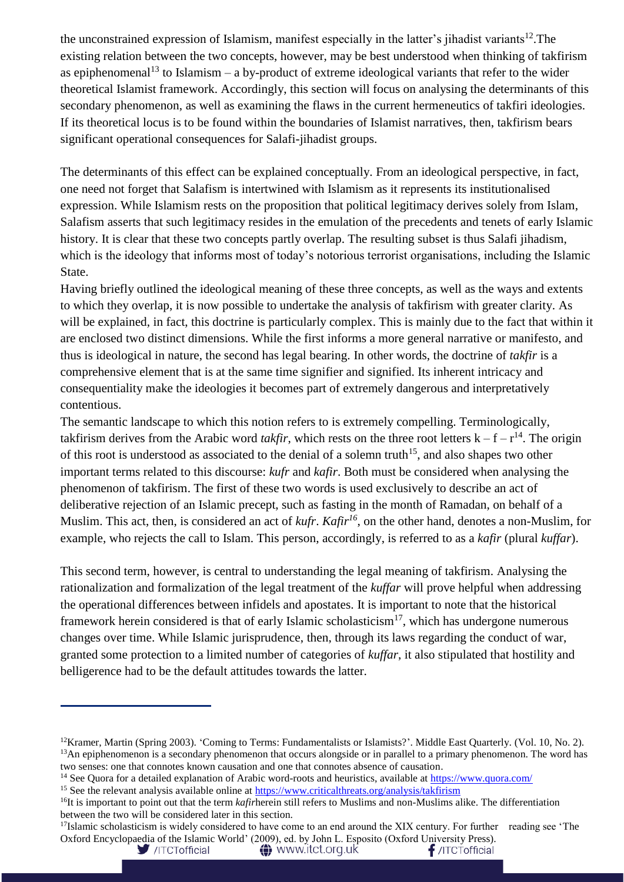the unconstrained expression of Islamism, manifest especially in the latter's jihadist variants<sup>12</sup>. The existing relation between the two concepts, however, may be best understood when thinking of takfirism as epiphenomenal<sup>13</sup> to Islamism – a by-product of extreme ideological variants that refer to the wider theoretical Islamist framework. Accordingly, this section will focus on analysing the determinants of this secondary phenomenon, as well as examining the flaws in the current hermeneutics of takfiri ideologies. If its theoretical locus is to be found within the boundaries of Islamist narratives, then, takfirism bears significant operational consequences for Salafi-jihadist groups.

The determinants of this effect can be explained conceptually. From an ideological perspective, in fact, one need not forget that Salafism is intertwined with Islamism as it represents its institutionalised expression. While Islamism rests on the proposition that political legitimacy derives solely from Islam, Salafism asserts that such legitimacy resides in the emulation of the precedents and tenets of early Islamic history. It is clear that these two concepts partly overlap. The resulting subset is thus Salafi jihadism, which is the ideology that informs most of today's notorious terrorist organisations, including the Islamic State.

Having briefly outlined the ideological meaning of these three concepts, as well as the ways and extents to which they overlap, it is now possible to undertake the analysis of takfirism with greater clarity. As will be explained, in fact, this doctrine is particularly complex. This is mainly due to the fact that within it are enclosed two distinct dimensions. While the first informs a more general narrative or manifesto, and thus is ideological in nature, the second has legal bearing. In other words, the doctrine of *takfir* is a comprehensive element that is at the same time signifier and signified. Its inherent intricacy and consequentiality make the ideologies it becomes part of extremely dangerous and interpretatively contentious.

The semantic landscape to which this notion refers to is extremely compelling. Terminologically, takfirism derives from the Arabic word *takfir*, which rests on the three root letters  $k - f - r^{14}$ . The origin of this root is understood as associated to the denial of a solemn truth<sup>15</sup>, and also shapes two other important terms related to this discourse: *kufr* and *kafir*. Both must be considered when analysing the phenomenon of takfirism. The first of these two words is used exclusively to describe an act of deliberative rejection of an Islamic precept, such as fasting in the month of Ramadan, on behalf of a Muslim. This act, then, is considered an act of *kufr*. *Kafir<sup>16</sup>*, on the other hand, denotes a non-Muslim, for example, who rejects the call to Islam. This person, accordingly, is referred to as a *kafir* (plural *kuffar*).

This second term, however, is central to understanding the legal meaning of takfirism. Analysing the rationalization and formalization of the legal treatment of the *kuffar* will prove helpful when addressing the operational differences between infidels and apostates. It is important to note that the historical framework herein considered is that of early Islamic scholasticism<sup>17</sup>, which has undergone numerous changes over time. While Islamic jurisprudence, then, through its laws regarding the conduct of war, granted some protection to a limited number of categories of *kuffar*, it also stipulated that hostility and belligerence had to be the default attitudes towards the latter.

 $17$ Islamic scholasticism is widely considered to have come to an end around the XIX century. For further reading see 'The Oxford Encyclopaedia of the Islamic World' (2009), ed. by John L. Esposito (Oxford University Press).

 $f$ /ITCTofficial

<sup>&</sup>lt;sup>12</sup>Kramer, Martin (Spring 2003). 'Coming to Terms: Fundamentalists or Islamists?'. Middle East Quarterly. (Vol. 10, No. 2).  $<sup>13</sup>$ An epiphenomenon is a secondary phenomenon that occurs alongside or in parallel to a primary phenomenon. The word has</sup> two senses: one that connotes known causation and one that connotes absence of causation.

<sup>&</sup>lt;sup>14</sup> See Quora for a detailed explanation of Arabic word-roots and heuristics, available at<https://www.quora.com/>

<sup>&</sup>lt;sup>15</sup> See the relevant analysis available online at<https://www.criticalthreats.org/analysis/takfirism>

<sup>&</sup>lt;sup>16</sup>It is important to point out that the term *kafir*herein still refers to Muslims and non-Muslims alike. The differentiation between the two will be considered later in this section.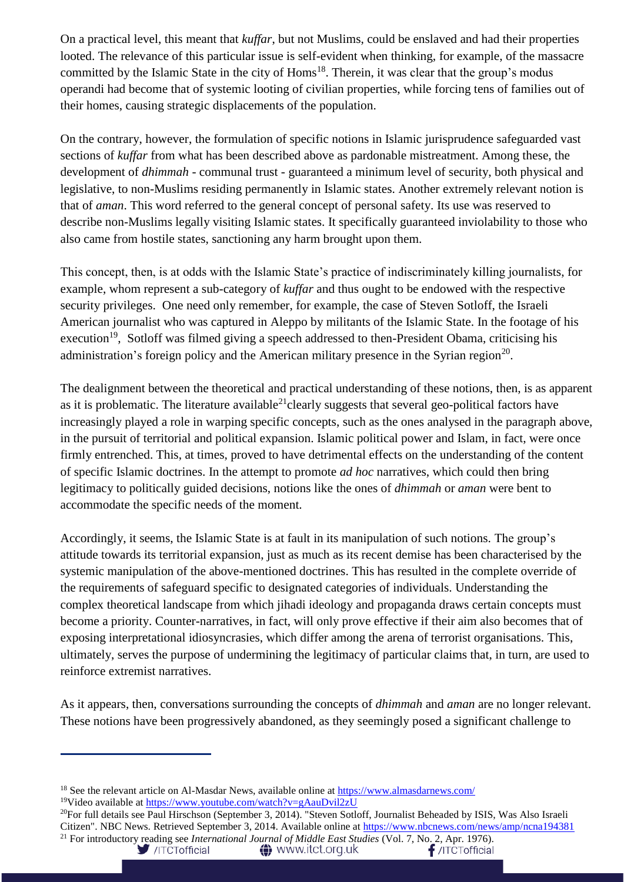On a practical level, this meant that *kuffar*, but not Muslims, could be enslaved and had their properties looted. The relevance of this particular issue is self-evident when thinking, for example, of the massacre committed by the Islamic State in the city of Homs<sup>18</sup>. Therein, it was clear that the group's modus operandi had become that of systemic looting of civilian properties, while forcing tens of families out of their homes, causing strategic displacements of the population.

On the contrary, however, the formulation of specific notions in Islamic jurisprudence safeguarded vast sections of *kuffar* from what has been described above as pardonable mistreatment. Among these, the development of *dhimmah* - communal trust - guaranteed a minimum level of security, both physical and legislative, to non-Muslims residing permanently in Islamic states. Another extremely relevant notion is that of *aman*. This word referred to the general concept of personal safety. Its use was reserved to describe non-Muslims legally visiting Islamic states. It specifically guaranteed inviolability to those who also came from hostile states, sanctioning any harm brought upon them.

This concept, then, is at odds with the Islamic State's practice of indiscriminately killing journalists, for example, whom represent a sub-category of *kuffar* and thus ought to be endowed with the respective security privileges. One need only remember, for example, the case of Steven Sotloff, the Israeli American journalist who was captured in Aleppo by militants of the Islamic State. In the footage of his execution<sup>19</sup>, Sotloff was filmed giving a speech addressed to then-President Obama, criticising his administration's foreign policy and the American military presence in the Syrian region<sup>20</sup>.

The dealignment between the theoretical and practical understanding of these notions, then, is as apparent as it is problematic. The literature available<sup>21</sup>clearly suggests that several geo-political factors have increasingly played a role in warping specific concepts, such as the ones analysed in the paragraph above, in the pursuit of territorial and political expansion. Islamic political power and Islam, in fact, were once firmly entrenched. This, at times, proved to have detrimental effects on the understanding of the content of specific Islamic doctrines. In the attempt to promote *ad hoc* narratives, which could then bring legitimacy to politically guided decisions, notions like the ones of *dhimmah* or *aman* were bent to accommodate the specific needs of the moment.

Accordingly, it seems, the Islamic State is at fault in its manipulation of such notions. The group's attitude towards its territorial expansion, just as much as its recent demise has been characterised by the systemic manipulation of the above-mentioned doctrines. This has resulted in the complete override of the requirements of safeguard specific to designated categories of individuals. Understanding the complex theoretical landscape from which jihadi ideology and propaganda draws certain concepts must become a priority. Counter-narratives, in fact, will only prove effective if their aim also becomes that of exposing interpretational idiosyncrasies, which differ among the arena of terrorist organisations. This, ultimately, serves the purpose of undermining the legitimacy of particular claims that, in turn, are used to reinforce extremist narratives.

As it appears, then, conversations surrounding the concepts of *dhimmah* and *aman* are no longer relevant. These notions have been progressively abandoned, as they seemingly posed a significant challenge to

<sup>&</sup>lt;sup>18</sup> See the relevant article on Al-Masdar News, available online at<https://www.almasdarnews.com/>

<sup>&</sup>lt;sup>19</sup>Video available at<https://www.youtube.com/watch?v=gAauDvil2zU>

 $^{20}$ For full details see Paul Hirschson (September 3, 2014). "Steven Sotloff, Journalist Beheaded by ISIS, Was Also Israeli Citizen". NBC News. Retrieved September 3, 2014. Available online at<https://www.nbcnews.com/news/amp/ncna194381> <sup>21</sup> For introductory reading see *International Journal of Middle East Studies* (Vol. 7, No. 2, Apr. 1976).<br>//ITCTofficial **1976**/ITCTofficial **1976**/ITCTofficial **1976** 

**A** www.itct.org.uk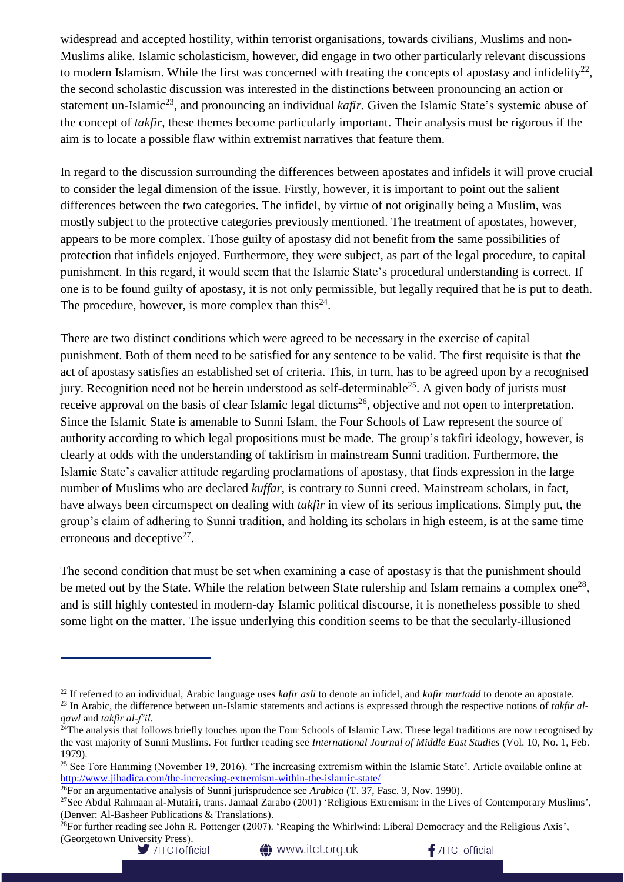widespread and accepted hostility, within terrorist organisations, towards civilians, Muslims and non-Muslims alike. Islamic scholasticism, however, did engage in two other particularly relevant discussions to modern Islamism. While the first was concerned with treating the concepts of apostasy and infidelity $^{22}$ , the second scholastic discussion was interested in the distinctions between pronouncing an action or statement un-Islamic<sup>23</sup>, and pronouncing an individual *kafir*. Given the Islamic State's systemic abuse of the concept of *takfir*, these themes become particularly important. Their analysis must be rigorous if the aim is to locate a possible flaw within extremist narratives that feature them.

In regard to the discussion surrounding the differences between apostates and infidels it will prove crucial to consider the legal dimension of the issue. Firstly, however, it is important to point out the salient differences between the two categories. The infidel, by virtue of not originally being a Muslim, was mostly subject to the protective categories previously mentioned. The treatment of apostates, however, appears to be more complex. Those guilty of apostasy did not benefit from the same possibilities of protection that infidels enjoyed. Furthermore, they were subject, as part of the legal procedure, to capital punishment. In this regard, it would seem that the Islamic State's procedural understanding is correct. If one is to be found guilty of apostasy, it is not only permissible, but legally required that he is put to death. The procedure, however, is more complex than this<sup>24</sup>.

There are two distinct conditions which were agreed to be necessary in the exercise of capital punishment. Both of them need to be satisfied for any sentence to be valid. The first requisite is that the act of apostasy satisfies an established set of criteria. This, in turn, has to be agreed upon by a recognised jury. Recognition need not be herein understood as self-determinable<sup>25</sup>. A given body of jurists must receive approval on the basis of clear Islamic legal dictums<sup>26</sup>, objective and not open to interpretation. Since the Islamic State is amenable to Sunni Islam, the Four Schools of Law represent the source of authority according to which legal propositions must be made. The group's takfiri ideology, however, is clearly at odds with the understanding of takfirism in mainstream Sunni tradition. Furthermore, the Islamic State's cavalier attitude regarding proclamations of apostasy, that finds expression in the large number of Muslims who are declared *kuffar*, is contrary to Sunni creed. Mainstream scholars, in fact, have always been circumspect on dealing with *takfir* in view of its serious implications. Simply put, the group's claim of adhering to Sunni tradition, and holding its scholars in high esteem, is at the same time erroneous and deceptive $2^7$ .

The second condition that must be set when examining a case of apostasy is that the punishment should be meted out by the State. While the relation between State rulership and Islam remains a complex one<sup>28</sup>, and is still highly contested in modern-day Islamic political discourse, it is nonetheless possible to shed some light on the matter. The issue underlying this condition seems to be that the secularly-illusioned

**1** www.itct.org.uk

 $f$ /ITCTofficial

<sup>22</sup> If referred to an individual, Arabic language uses *kafir asli* to denote an infidel, and *kafir murtadd* to denote an apostate.

<sup>23</sup> In Arabic, the difference between un-Islamic statements and actions is expressed through the respective notions of *takfir alqawl* and *takfir al-f'il*.

 $^{24}$ The analysis that follows briefly touches upon the Four Schools of Islamic Law. These legal traditions are now recognised by the vast majority of Sunni Muslims. For further reading see *International Journal of Middle East Studies* (Vol. 10, No. 1, Feb. 1979).

<sup>&</sup>lt;sup>25</sup> See Tore Hamming (November 19, 2016). 'The increasing extremism within the Islamic State'. Article available online at <http://www.jihadica.com/the-increasing-extremism-within-the-islamic-state/>

<sup>26</sup>For an argumentative analysis of Sunni jurisprudence see *Arabica* (T. 37, Fasc. 3, Nov. 1990).

<sup>&</sup>lt;sup>27</sup>See Abdul Rahmaan al-Mutairi, trans. Jamaal Zarabo (2001) 'Religious Extremism: in the Lives of Contemporary Muslims', (Denver: Al-Basheer Publications & Translations).

<sup>&</sup>lt;sup>28</sup>For further reading see John R. Pottenger (2007). 'Reaping the Whirlwind: Liberal Democracy and the Religious Axis', (Georgetown University Press).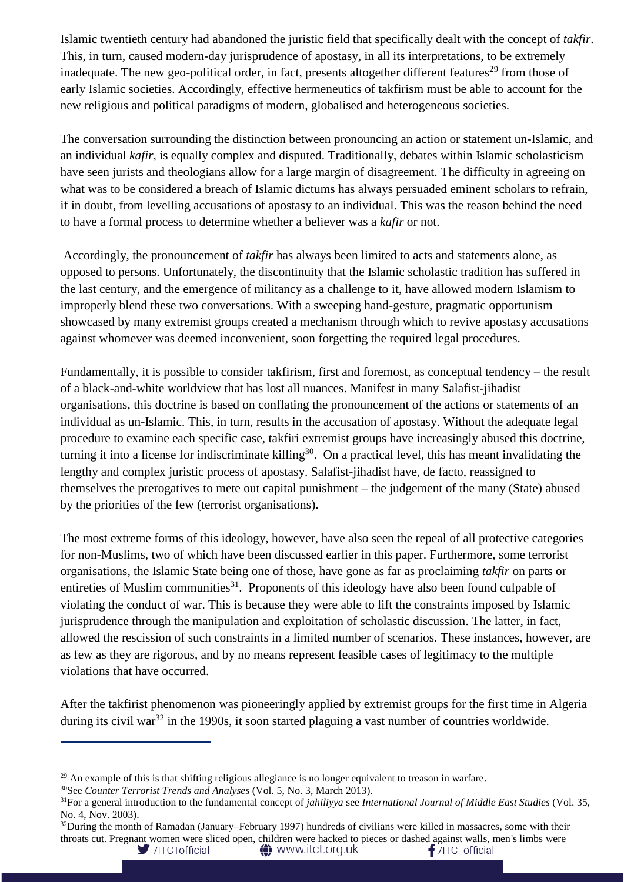Islamic twentieth century had abandoned the juristic field that specifically dealt with the concept of *takfir*. This, in turn, caused modern-day jurisprudence of apostasy, in all its interpretations, to be extremely inadequate. The new geo-political order, in fact, presents altogether different features<sup>29</sup> from those of early Islamic societies. Accordingly, effective hermeneutics of takfirism must be able to account for the new religious and political paradigms of modern, globalised and heterogeneous societies.

The conversation surrounding the distinction between pronouncing an action or statement un-Islamic, and an individual *kafir*, is equally complex and disputed. Traditionally, debates within Islamic scholasticism have seen jurists and theologians allow for a large margin of disagreement. The difficulty in agreeing on what was to be considered a breach of Islamic dictums has always persuaded eminent scholars to refrain, if in doubt, from levelling accusations of apostasy to an individual. This was the reason behind the need to have a formal process to determine whether a believer was a *kafir* or not.

Accordingly, the pronouncement of *takfir* has always been limited to acts and statements alone, as opposed to persons. Unfortunately, the discontinuity that the Islamic scholastic tradition has suffered in the last century, and the emergence of militancy as a challenge to it, have allowed modern Islamism to improperly blend these two conversations. With a sweeping hand-gesture, pragmatic opportunism showcased by many extremist groups created a mechanism through which to revive apostasy accusations against whomever was deemed inconvenient, soon forgetting the required legal procedures.

Fundamentally, it is possible to consider takfirism, first and foremost, as conceptual tendency – the result of a black-and-white worldview that has lost all nuances. Manifest in many Salafist-jihadist organisations, this doctrine is based on conflating the pronouncement of the actions or statements of an individual as un-Islamic. This, in turn, results in the accusation of apostasy. Without the adequate legal procedure to examine each specific case, takfiri extremist groups have increasingly abused this doctrine, turning it into a license for indiscriminate killing<sup>30</sup>. On a practical level, this has meant invalidating the lengthy and complex juristic process of apostasy. Salafist-jihadist have, de facto, reassigned to themselves the prerogatives to mete out capital punishment – the judgement of the many (State) abused by the priorities of the few (terrorist organisations).

The most extreme forms of this ideology, however, have also seen the repeal of all protective categories for non-Muslims, two of which have been discussed earlier in this paper. Furthermore, some terrorist organisations, the Islamic State being one of those, have gone as far as proclaiming *takfir* on parts or entireties of Muslim communities<sup>31</sup>. Proponents of this ideology have also been found culpable of violating the conduct of war. This is because they were able to lift the constraints imposed by Islamic jurisprudence through the manipulation and exploitation of scholastic discussion. The latter, in fact, allowed the rescission of such constraints in a limited number of scenarios. These instances, however, are as few as they are rigorous, and by no means represent feasible cases of legitimacy to the multiple violations that have occurred.

After the takfirist phenomenon was pioneeringly applied by extremist groups for the first time in Algeria during its civil war<sup>32</sup> in the 1990s, it soon started plaguing a vast number of countries worldwide.

<sup>&</sup>lt;sup>29</sup> An example of this is that shifting religious allegiance is no longer equivalent to treason in warfare.

<sup>30</sup>See *Counter Terrorist Trends and Analyses* (Vol. 5, No. 3, March 2013).

<sup>31</sup>For a general introduction to the fundamental concept of *jahiliyya* see *International Journal of Middle East Studies* (Vol. 35, No. 4, Nov. 2003).

 $32$ During the month of Ramadan (January–February 1997) hundreds of civilians were killed in massacres, some with their throats cut. Pregnant women were sliced open, children were hacked to pieces or dashed against walls, men's limbs were /ITCTofficial **A** www.itct.org.uk  $f$ /ITCTofficial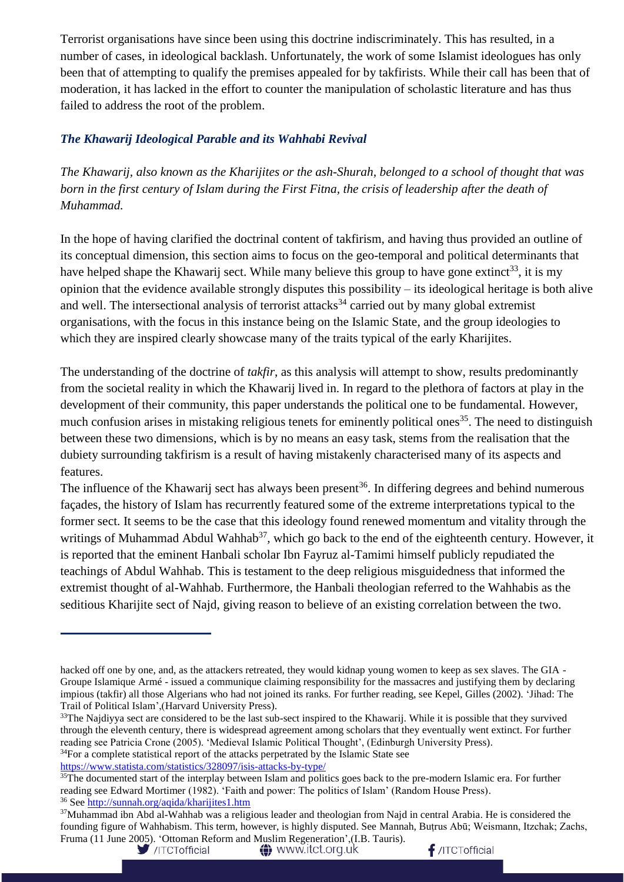Terrorist organisations have since been using this doctrine indiscriminately. This has resulted, in a number of cases, in ideological backlash. Unfortunately, the work of some Islamist ideologues has only been that of attempting to qualify the premises appealed for by takfirists. While their call has been that of moderation, it has lacked in the effort to counter the manipulation of scholastic literature and has thus failed to address the root of the problem.

### *The Khawarij Ideological Parable and its Wahhabi Revival*

*The Khawarij, also known as the Kharijites or the ash-Shurah, belonged to a school of thought that was born in the first century of Islam during the First Fitna, the crisis of leadership after the death of Muhammad.*

In the hope of having clarified the doctrinal content of takfirism, and having thus provided an outline of its conceptual dimension, this section aims to focus on the geo-temporal and political determinants that have helped shape the Khawarij sect. While many believe this group to have gone extinct<sup>33</sup>, it is my opinion that the evidence available strongly disputes this possibility – its ideological heritage is both alive and well. The intersectional analysis of terrorist attacks<sup>34</sup> carried out by many global extremist organisations, with the focus in this instance being on the Islamic State, and the group ideologies to which they are inspired clearly showcase many of the traits typical of the early Kharijites.

The understanding of the doctrine of *takfir*, as this analysis will attempt to show, results predominantly from the societal reality in which the Khawarij lived in. In regard to the plethora of factors at play in the development of their community, this paper understands the political one to be fundamental. However, much confusion arises in mistaking religious tenets for eminently political ones<sup>35</sup>. The need to distinguish between these two dimensions, which is by no means an easy task, stems from the realisation that the dubiety surrounding takfirism is a result of having mistakenly characterised many of its aspects and features.

The influence of the Khawarij sect has always been present<sup>36</sup>. In differing degrees and behind numerous façades, the history of Islam has recurrently featured some of the extreme interpretations typical to the former sect. It seems to be the case that this ideology found renewed momentum and vitality through the writings of Muhammad Abdul Wahhab<sup>37</sup>, which go back to the end of the eighteenth century. However, it is reported that the eminent Hanbali scholar Ibn Fayruz al-Tamimi himself publicly repudiated the teachings of Abdul Wahhab. This is testament to the deep religious misguidedness that informed the extremist thought of al-Wahhab. Furthermore, the Hanbali theologian referred to the Wahhabis as the seditious Kharijite sect of Najd, giving reason to believe of an existing correlation between the two.

 $34$ For a complete statistical report of the attacks perpetrated by the Islamic State see

<https://www.statista.com/statistics/328097/isis-attacks-by-type/>

**A** www.itct.org.uk



hacked off one by one, and, as the attackers retreated, they would kidnap young women to keep as sex slaves. The GIA - Groupe Islamique Armé - issued a communique claiming responsibility for the massacres and justifying them by declaring impious (takfir) all those Algerians who had not joined its ranks. For further reading, see Kepel, Gilles (2002). 'Jihad: The Trail of Political Islam',(Harvard University Press).

<sup>&</sup>lt;sup>33</sup>The Najdiyya sect are considered to be the last sub-sect inspired to the Khawarij. While it is possible that they survived through the eleventh century, there is widespread agreement among scholars that they eventually went extinct. For further reading see Patricia Crone (2005). 'Medieval Islamic Political Thought', (Edinburgh University Press).

<sup>&</sup>lt;sup>35</sup>The documented start of the interplay between Islam and politics goes back to the pre-modern Islamic era. For further reading see Edward Mortimer (1982). 'Faith and power: The politics of Islam' (Random House Press). <sup>36</sup> Se[e http://sunnah.org/aqida/kharijites1.htm](http://sunnah.org/aqida/kharijites1.htm)

<sup>&</sup>lt;sup>37</sup>Muhammad ibn Abd al-Wahhab was a religious leader and theologian from Najd in central Arabia. He is considered the founding figure of Wahhabism. This term, however, is highly disputed. See Mannah, Buṭrus Abū; Weismann, Itzchak; Zachs, Fruma (11 June 2005). 'Ottoman Reform and Muslim Regeneration',(I.B. Tauris).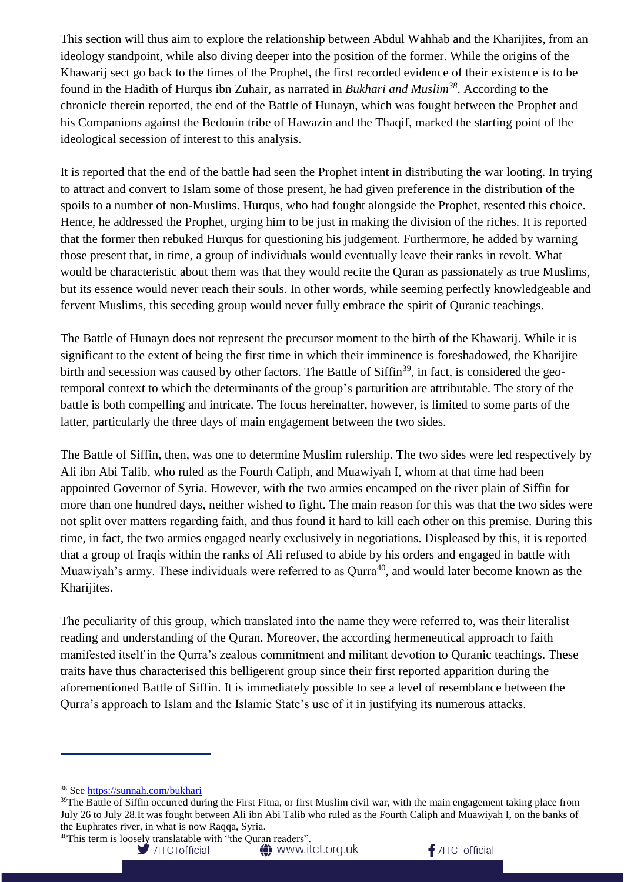This section will thus aim to explore the relationship between Abdul Wahhab and the Kharijites, from an ideology standpoint, while also diving deeper into the position of the former. While the origins of the Khawarij sect go back to the times of the Prophet, the first recorded evidence of their existence is to be found in the Hadith of Hurqus ibn Zuhair, as narrated in *Bukhari and Muslim<sup>38</sup>*. According to the chronicle therein reported, the end of the Battle of Hunayn, which was fought between the Prophet and his Companions against the Bedouin tribe of Hawazin and the Thaqif, marked the starting point of the ideological secession of interest to this analysis.

It is reported that the end of the battle had seen the Prophet intent in distributing the war looting. In trying to attract and convert to Islam some of those present, he had given preference in the distribution of the spoils to a number of non-Muslims. Hurqus, who had fought alongside the Prophet, resented this choice. Hence, he addressed the Prophet, urging him to be just in making the division of the riches. It is reported that the former then rebuked Hurqus for questioning his judgement. Furthermore, he added by warning those present that, in time, a group of individuals would eventually leave their ranks in revolt. What would be characteristic about them was that they would recite the Quran as passionately as true Muslims, but its essence would never reach their souls. In other words, while seeming perfectly knowledgeable and fervent Muslims, this seceding group would never fully embrace the spirit of Quranic teachings.

The Battle of Hunayn does not represent the precursor moment to the birth of the Khawarij. While it is significant to the extent of being the first time in which their imminence is foreshadowed, the Kharijite birth and secession was caused by other factors. The Battle of Siffin<sup>39</sup>, in fact, is considered the geotemporal context to which the determinants of the group's parturition are attributable. The story of the battle is both compelling and intricate. The focus hereinafter, however, is limited to some parts of the latter, particularly the three days of main engagement between the two sides.

The Battle of Siffin, then, was one to determine Muslim rulership. The two sides were led respectively by Ali ibn Abi Talib, who ruled as the Fourth Caliph, and Muawiyah I, whom at that time had been appointed Governor of Syria. However, with the two armies encamped on the river plain of Siffin for more than one hundred days, neither wished to fight. The main reason for this was that the two sides were not split over matters regarding faith, and thus found it hard to kill each other on this premise. During this time, in fact, the two armies engaged nearly exclusively in negotiations. Displeased by this, it is reported that a group of Iraqis within the ranks of Ali refused to abide by his orders and engaged in battle with Muawiyah's army. These individuals were referred to as Qurra<sup>40</sup>, and would later become known as the Kharijites.

The peculiarity of this group, which translated into the name they were referred to, was their literalist reading and understanding of the Quran. Moreover, the according hermeneutical approach to faith manifested itself in the Qurra's zealous commitment and militant devotion to Quranic teachings. These traits have thus characterised this belligerent group since their first reported apparition during the aforementioned Battle of Siffin. It is immediately possible to see a level of resemblance between the Qurra's approach to Islam and the Islamic State's use of it in justifying its numerous attacks.

<sup>38</sup> Se[e https://sunnah.com/bukhari](https://sunnah.com/bukhari)

 $39$ The Battle of Siffin occurred during the First Fitna, or first Muslim civil war, with the main engagement taking place from July 26 to July 28.It was fought between Ali ibn Abi Talib who ruled as the Fourth Caliph and Muawiyah I, on the banks of the Euphrates river, in what is now Raqqa, Syria. <sup>40</sup>This term is loosely translatable with "the Quran readers".<br> $\sqrt{17}$   $\sqrt{17}$   $\sqrt{17}$   $\sqrt{17}$   $\sqrt{17}$   $\sqrt{17}$   $\sqrt{17}$   $\sqrt{17}$   $\sqrt{17}$   $\sqrt{17}$   $\sqrt{17}$   $\sqrt{17}$   $\sqrt{17}$   $\sqrt{17}$   $\sqrt{17}$   $\sqrt{17}$   $\sqrt{17}$   $\sqrt{$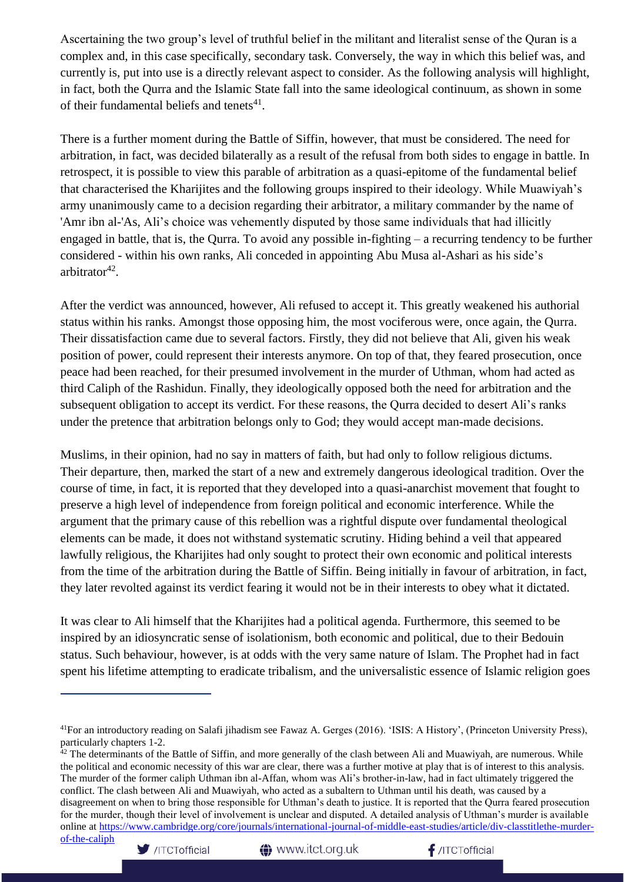Ascertaining the two group's level of truthful belief in the militant and literalist sense of the Quran is a complex and, in this case specifically, secondary task. Conversely, the way in which this belief was, and currently is, put into use is a directly relevant aspect to consider. As the following analysis will highlight, in fact, both the Qurra and the Islamic State fall into the same ideological continuum, as shown in some of their fundamental beliefs and tenets $41$ .

There is a further moment during the Battle of Siffin, however, that must be considered. The need for arbitration, in fact, was decided bilaterally as a result of the refusal from both sides to engage in battle. In retrospect, it is possible to view this parable of arbitration as a quasi-epitome of the fundamental belief that characterised the Kharijites and the following groups inspired to their ideology. While Muawiyah's army unanimously came to a decision regarding their arbitrator, a military commander by the name of 'Amr ibn al-'As, Ali's choice was vehemently disputed by those same individuals that had illicitly engaged in battle, that is, the Qurra. To avoid any possible in-fighting – a recurring tendency to be further considered - within his own ranks, Ali conceded in appointing Abu Musa al-Ashari as his side's arbitrator<sup>42</sup>.

After the verdict was announced, however, Ali refused to accept it. This greatly weakened his authorial status within his ranks. Amongst those opposing him, the most vociferous were, once again, the Qurra. Their dissatisfaction came due to several factors. Firstly, they did not believe that Ali, given his weak position of power, could represent their interests anymore. On top of that, they feared prosecution, once peace had been reached, for their presumed involvement in the murder of Uthman, whom had acted as third Caliph of the Rashidun. Finally, they ideologically opposed both the need for arbitration and the subsequent obligation to accept its verdict. For these reasons, the Qurra decided to desert Ali's ranks under the pretence that arbitration belongs only to God; they would accept man-made decisions.

Muslims, in their opinion, had no say in matters of faith, but had only to follow religious dictums. Their departure, then, marked the start of a new and extremely dangerous ideological tradition. Over the course of time, in fact, it is reported that they developed into a quasi-anarchist movement that fought to preserve a high level of independence from foreign political and economic interference. While the argument that the primary cause of this rebellion was a rightful dispute over fundamental theological elements can be made, it does not withstand systematic scrutiny. Hiding behind a veil that appeared lawfully religious, the Kharijites had only sought to protect their own economic and political interests from the time of the arbitration during the Battle of Siffin. Being initially in favour of arbitration, in fact, they later revolted against its verdict fearing it would not be in their interests to obey what it dictated.

It was clear to Ali himself that the Kharijites had a political agenda. Furthermore, this seemed to be inspired by an idiosyncratic sense of isolationism, both economic and political, due to their Bedouin status. Such behaviour, however, is at odds with the very same nature of Islam. The Prophet had in fact spent his lifetime attempting to eradicate tribalism, and the universalistic essence of Islamic religion goes



<sup>&</sup>lt;sup>41</sup>For an introductory reading on Salafi jihadism see Fawaz A. Gerges (2016). 'ISIS: A History', (Princeton University Press), particularly chapters 1-2.

 $42$  The determinants of the Battle of Siffin, and more generally of the clash between Ali and Muawiyah, are numerous. While the political and economic necessity of this war are clear, there was a further motive at play that is of interest to this analysis. The murder of the former caliph Uthman ibn al-Affan, whom was Ali's brother-in-law, had in fact ultimately triggered the conflict. The clash between Ali and Muawiyah, who acted as a subaltern to Uthman until his death, was caused by a disagreement on when to bring those responsible for Uthman's death to justice. It is reported that the Qurra feared prosecution for the murder, though their level of involvement is unclear and disputed. A detailed analysis of Uthman's murder is available online at [https://www.cambridge.org/core/journals/international-journal-of-middle-east-studies/article/div-classtitlethe-murder-](https://www.cambridge.org/core/journals/international-journal-of-middle-east-studies/article/div-classtitlethe-murder-of-the-caliph)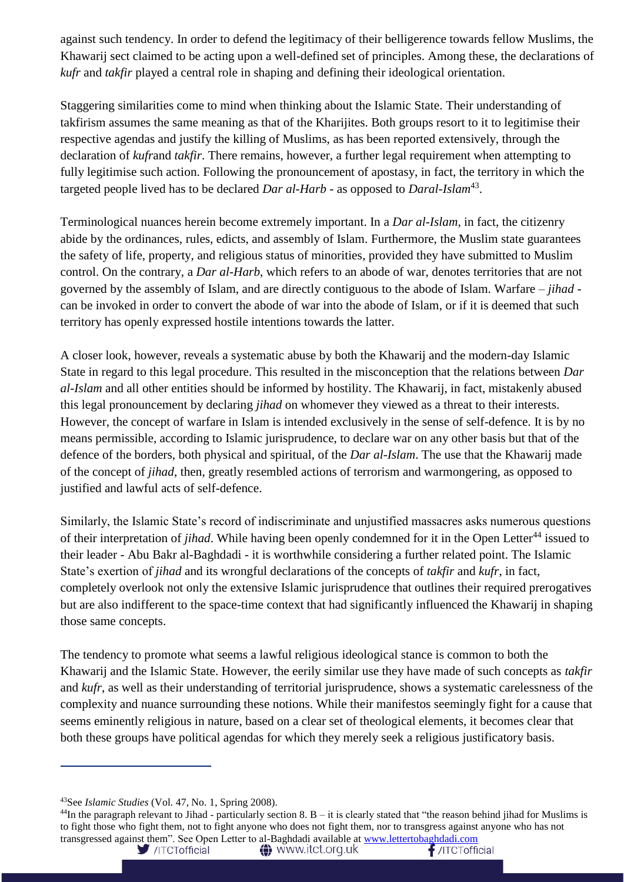against such tendency. In order to defend the legitimacy of their belligerence towards fellow Muslims, the Khawarij sect claimed to be acting upon a well-defined set of principles. Among these, the declarations of *kufr* and *takfir* played a central role in shaping and defining their ideological orientation.

Staggering similarities come to mind when thinking about the Islamic State. Their understanding of takfirism assumes the same meaning as that of the Kharijites. Both groups resort to it to legitimise their respective agendas and justify the killing of Muslims, as has been reported extensively, through the declaration of *kufr*and *takfir*. There remains, however, a further legal requirement when attempting to fully legitimise such action. Following the pronouncement of apostasy, in fact, the territory in which the targeted people lived has to be declared *Dar al-Harb* - as opposed to *Daral-Islam*<sup>43</sup> .

Terminological nuances herein become extremely important. In a *Dar al-Islam*, in fact, the citizenry abide by the ordinances, rules, edicts, and assembly of Islam. Furthermore, the Muslim state guarantees the safety of life, property, and religious status of minorities, provided they have submitted to Muslim control. On the contrary, a *Dar al-Harb*, which refers to an abode of war, denotes territories that are not governed by the assembly of Islam, and are directly contiguous to the abode of Islam. Warfare – *jihad* can be invoked in order to convert the abode of war into the abode of Islam, or if it is deemed that such territory has openly expressed hostile intentions towards the latter.

A closer look, however, reveals a systematic abuse by both the Khawarij and the modern-day Islamic State in regard to this legal procedure. This resulted in the misconception that the relations between *Dar al-Islam* and all other entities should be informed by hostility. The Khawarij, in fact, mistakenly abused this legal pronouncement by declaring *jihad* on whomever they viewed as a threat to their interests. However, the concept of warfare in Islam is intended exclusively in the sense of self-defence. It is by no means permissible, according to Islamic jurisprudence, to declare war on any other basis but that of the defence of the borders, both physical and spiritual, of the *Dar al-Islam*. The use that the Khawarij made of the concept of *jihad*, then, greatly resembled actions of terrorism and warmongering, as opposed to justified and lawful acts of self-defence.

Similarly, the Islamic State's record of indiscriminate and unjustified massacres asks numerous questions of their interpretation of *jihad*. While having been openly condemned for it in the Open Letter<sup>44</sup> issued to their leader - Abu Bakr al-Baghdadi - it is worthwhile considering a further related point. The Islamic State's exertion of *jihad* and its wrongful declarations of the concepts of *takfir* and *kufr*, in fact, completely overlook not only the extensive Islamic jurisprudence that outlines their required prerogatives but are also indifferent to the space-time context that had significantly influenced the Khawarij in shaping those same concepts.

The tendency to promote what seems a lawful religious ideological stance is common to both the Khawarij and the Islamic State. However, the eerily similar use they have made of such concepts as *takfir* and *kufr*, as well as their understanding of territorial jurisprudence, shows a systematic carelessness of the complexity and nuance surrounding these notions. While their manifestos seemingly fight for a cause that seems eminently religious in nature, based on a clear set of theological elements, it becomes clear that both these groups have political agendas for which they merely seek a religious justificatory basis.

 $\ddagger$  /ITCTofficial

<sup>43</sup>See *Islamic Studies* (Vol. 47, No. 1, Spring 2008).

 $^{44}$ In the paragraph relevant to Jihad - particularly section 8. B – it is clearly stated that "the reason behind jihad for Muslims is to fight those who fight them, not to fight anyone who does not fight them, nor to transgress against anyone who has not transgressed against them". See Open Letter to al-Baghdadi available at [www.lettertobaghdadi.com](http://www.lettertobaghdadi.com/)/ITCTofficial

**A** www.itct.org.uk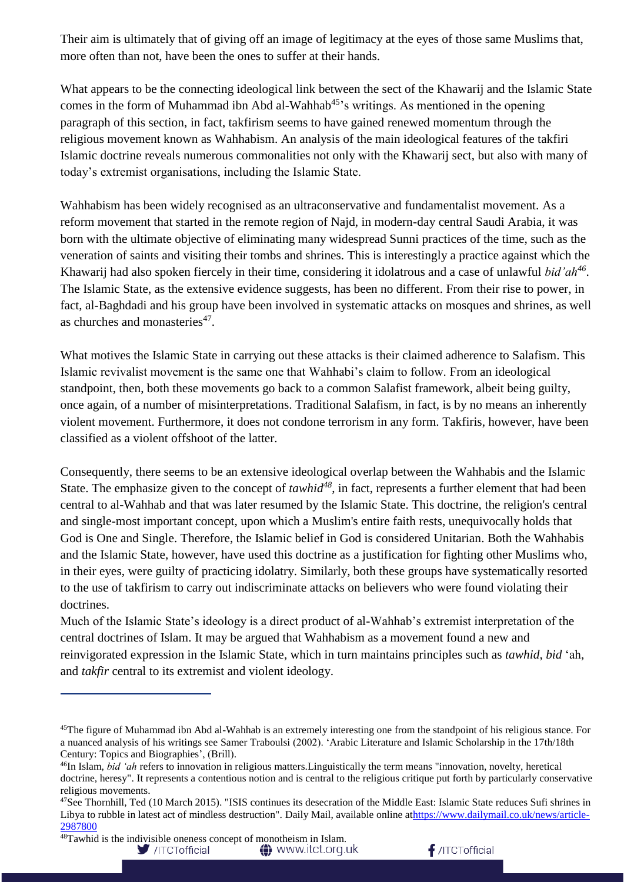Their aim is ultimately that of giving off an image of legitimacy at the eyes of those same Muslims that, more often than not, have been the ones to suffer at their hands.

What appears to be the connecting ideological link between the sect of the Khawarij and the Islamic State comes in the form of Muhammad ibn Abd al-Wahhab<sup>45</sup>'s writings. As mentioned in the opening paragraph of this section, in fact, takfirism seems to have gained renewed momentum through the religious movement known as Wahhabism. An analysis of the main ideological features of the takfiri Islamic doctrine reveals numerous commonalities not only with the Khawarij sect, but also with many of today's extremist organisations, including the Islamic State.

Wahhabism has been widely recognised as an ultraconservative and fundamentalist movement. As a reform movement that started in the remote region of Najd, in modern-day central Saudi Arabia, it was born with the ultimate objective of eliminating many widespread Sunni practices of the time, such as the veneration of saints and visiting their tombs and shrines. This is interestingly a practice against which the Khawarij had also spoken fiercely in their time, considering it idolatrous and a case of unlawful *bid'ah<sup>46</sup>* . The Islamic State, as the extensive evidence suggests, has been no different. From their rise to power, in fact, al-Baghdadi and his group have been involved in systematic attacks on mosques and shrines, as well as churches and monasteries<sup>47</sup>.

What motives the Islamic State in carrying out these attacks is their claimed adherence to Salafism. This Islamic revivalist movement is the same one that Wahhabi's claim to follow. From an ideological standpoint, then, both these movements go back to a common Salafist framework, albeit being guilty, once again, of a number of misinterpretations. Traditional Salafism, in fact, is by no means an inherently violent movement. Furthermore, it does not condone terrorism in any form. Takfiris, however, have been classified as a violent offshoot of the latter.

Consequently, there seems to be an extensive ideological overlap between the Wahhabis and the Islamic State. The emphasize given to the concept of *tawhid<sup>48</sup>*, in fact, represents a further element that had been central to al-Wahhab and that was later resumed by the Islamic State. This doctrine, the religion's central and single-most important concept, upon which a Muslim's entire faith rests, unequivocally holds that God is One and Single. Therefore, the Islamic belief in God is considered Unitarian. Both the Wahhabis and the Islamic State, however, have used this doctrine as a justification for fighting other Muslims who, in their eyes, were guilty of practicing idolatry. Similarly, both these groups have systematically resorted to the use of takfirism to carry out indiscriminate attacks on believers who were found violating their doctrines.

Much of the Islamic State's ideology is a direct product of al-Wahhab's extremist interpretation of the central doctrines of Islam. It may be argued that Wahhabism as a movement found a new and reinvigorated expression in the Islamic State, which in turn maintains principles such as *tawhid*, *bid* 'ah, and *takfir* central to its extremist and violent ideology.

/ITCTofficial

 $f$ /ITCTofficial

<sup>&</sup>lt;sup>45</sup>The figure of Muhammad ibn Abd al-Wahhab is an extremely interesting one from the standpoint of his religious stance. For a nuanced analysis of his writings see Samer Traboulsi (2002). 'Arabic Literature and Islamic Scholarship in the 17th/18th Century: Topics and Biographies', (Brill).

<sup>46</sup>In Islam, *bid 'ah* refers to innovation in religious matters.Linguistically the term means "innovation, novelty, heretical doctrine, heresy". It represents a contentious notion and is central to the religious critique put forth by particularly conservative religious movements.

 $^{47}$ See Thornhill, Ted (10 March 2015). "ISIS continues its desecration of the Middle East: Islamic State reduces Sufi shrines in Libya to rubble in latest act of mindless destruction". Daily Mail, available online a[thttps://www.dailymail.co.uk/news/article-](https://www.dailymail.co.uk/news/article-2987800)[2987800](https://www.dailymail.co.uk/news/article-2987800)

 $48$ Tawhid is the indivisible oneness concept of monotheism in Islam. **△** www.itct.org.uk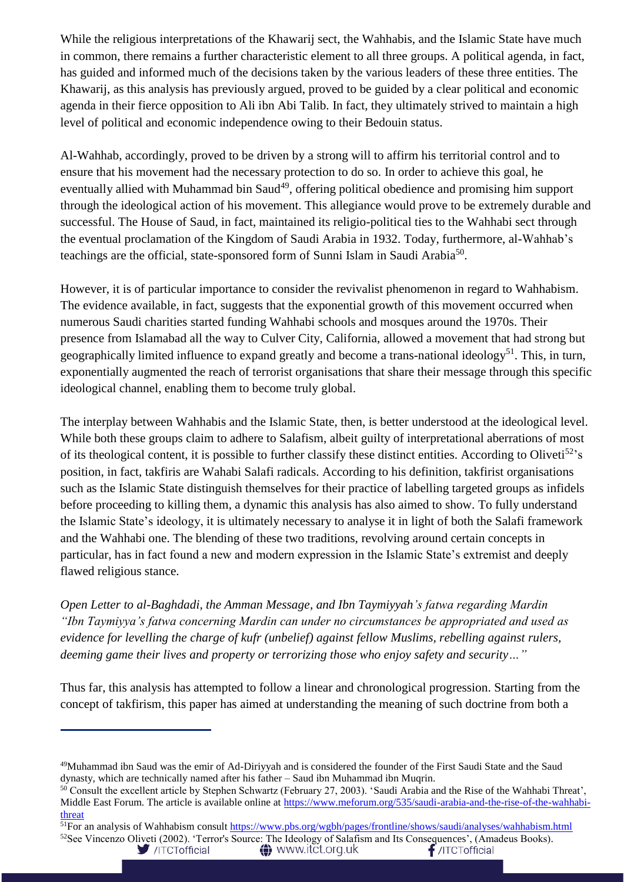While the religious interpretations of the Khawarij sect, the Wahhabis, and the Islamic State have much in common, there remains a further characteristic element to all three groups. A political agenda, in fact, has guided and informed much of the decisions taken by the various leaders of these three entities. The Khawarij, as this analysis has previously argued, proved to be guided by a clear political and economic agenda in their fierce opposition to Ali ibn Abi Talib. In fact, they ultimately strived to maintain a high level of political and economic independence owing to their Bedouin status.

Al-Wahhab, accordingly, proved to be driven by a strong will to affirm his territorial control and to ensure that his movement had the necessary protection to do so. In order to achieve this goal, he eventually allied with Muhammad bin Saud<sup>49</sup>, offering political obedience and promising him support through the ideological action of his movement. This allegiance would prove to be extremely durable and successful. The House of Saud, in fact, maintained its religio-political ties to the Wahhabi sect through the eventual proclamation of the Kingdom of Saudi Arabia in 1932. Today, furthermore, al-Wahhab's teachings are the official, state-sponsored form of Sunni Islam in Saudi Arabia<sup>50</sup>.

However, it is of particular importance to consider the revivalist phenomenon in regard to Wahhabism. The evidence available, in fact, suggests that the exponential growth of this movement occurred when numerous Saudi charities started funding Wahhabi schools and mosques around the 1970s. Their presence from Islamabad all the way to Culver City, California, allowed a movement that had strong but geographically limited influence to expand greatly and become a trans-national ideology<sup>51</sup>. This, in turn, exponentially augmented the reach of terrorist organisations that share their message through this specific ideological channel, enabling them to become truly global.

The interplay between Wahhabis and the Islamic State, then, is better understood at the ideological level. While both these groups claim to adhere to Salafism, albeit guilty of interpretational aberrations of most of its theological content, it is possible to further classify these distinct entities. According to Oliveti<sup>52</sup>'s position, in fact, takfiris are Wahabi Salafi radicals. According to his definition, takfirist organisations such as the Islamic State distinguish themselves for their practice of labelling targeted groups as infidels before proceeding to killing them, a dynamic this analysis has also aimed to show. To fully understand the Islamic State's ideology, it is ultimately necessary to analyse it in light of both the Salafi framework and the Wahhabi one. The blending of these two traditions, revolving around certain concepts in particular, has in fact found a new and modern expression in the Islamic State's extremist and deeply flawed religious stance.

*Open Letter to al-Baghdadi, the Amman Message, and Ibn Taymiyyah's fatwa regarding Mardin "Ibn Taymiyya's fatwa concerning Mardin can under no circumstances be appropriated and used as evidence for levelling the charge of kufr (unbelief) against fellow Muslims, rebelling against rulers, deeming game their lives and property or terrorizing those who enjoy safety and security…"*

Thus far, this analysis has attempted to follow a linear and chronological progression. Starting from the concept of takfirism, this paper has aimed at understanding the meaning of such doctrine from both a

<sup>49</sup>Muhammad ibn Saud was the emir of Ad-Diriyyah and is considered the founder of the First Saudi State and the Saud dynasty, which are technically named after his father – Saud ibn Muhammad ibn Muqrin.

<sup>&</sup>lt;sup>50</sup> Consult the excellent article by Stephen Schwartz (February 27, 2003). 'Saudi Arabia and the Rise of the Wahhabi Threat', Middle East Forum. The article is available online at [https://www.meforum.org/535/saudi-arabia-and-the-rise-of-the-wahhabi](https://www.meforum.org/535/saudi-arabia-and-the-rise-of-the-wahhabi-threat)[threat](https://www.meforum.org/535/saudi-arabia-and-the-rise-of-the-wahhabi-threat)

<sup>&</sup>lt;sup>51</sup>For an analysis of Wahhabism consul[t https://www.pbs.org/wgbh/pages/frontline/shows/saudi/analyses/wahhabism.html](https://www.pbs.org/wgbh/pages/frontline/shows/saudi/analyses/wahhabism.html)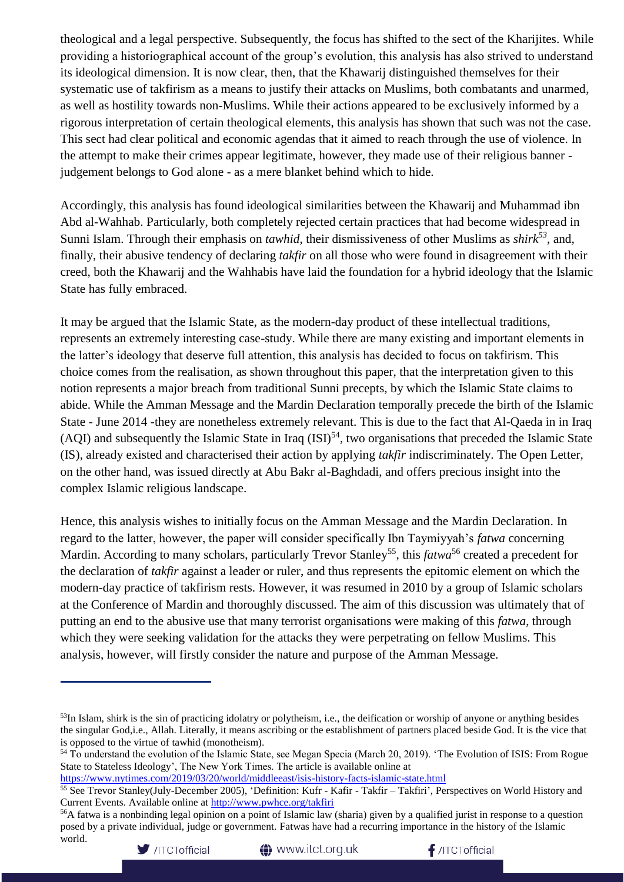theological and a legal perspective. Subsequently, the focus has shifted to the sect of the Kharijites. While providing a historiographical account of the group's evolution, this analysis has also strived to understand its ideological dimension. It is now clear, then, that the Khawarij distinguished themselves for their systematic use of takfirism as a means to justify their attacks on Muslims, both combatants and unarmed, as well as hostility towards non-Muslims. While their actions appeared to be exclusively informed by a rigorous interpretation of certain theological elements, this analysis has shown that such was not the case. This sect had clear political and economic agendas that it aimed to reach through the use of violence. In the attempt to make their crimes appear legitimate, however, they made use of their religious banner judgement belongs to God alone - as a mere blanket behind which to hide.

Accordingly, this analysis has found ideological similarities between the Khawarij and Muhammad ibn Abd al-Wahhab. Particularly, both completely rejected certain practices that had become widespread in Sunni Islam. Through their emphasis on *tawhid*, their dismissiveness of other Muslims as *shirk<sup>53</sup>*, and, finally, their abusive tendency of declaring *takfir* on all those who were found in disagreement with their creed, both the Khawarij and the Wahhabis have laid the foundation for a hybrid ideology that the Islamic State has fully embraced.

It may be argued that the Islamic State, as the modern-day product of these intellectual traditions, represents an extremely interesting case-study. While there are many existing and important elements in the latter's ideology that deserve full attention, this analysis has decided to focus on takfirism. This choice comes from the realisation, as shown throughout this paper, that the interpretation given to this notion represents a major breach from traditional Sunni precepts, by which the Islamic State claims to abide. While the Amman Message and the Mardin Declaration temporally precede the birth of the Islamic State - June 2014 -they are nonetheless extremely relevant. This is due to the fact that Al-Qaeda in in Iraq (AQI) and subsequently the Islamic State in Iraq  $(ISI)^{54}$ , two organisations that preceded the Islamic State (IS), already existed and characterised their action by applying *takfir* indiscriminately. The Open Letter, on the other hand, was issued directly at Abu Bakr al-Baghdadi, and offers precious insight into the complex Islamic religious landscape.

Hence, this analysis wishes to initially focus on the Amman Message and the Mardin Declaration. In regard to the latter, however, the paper will consider specifically Ibn Taymiyyah's *fatwa* concerning Mardin. According to many scholars, particularly Trevor Stanley<sup>55</sup>, this *fatwa*<sup>56</sup> created a precedent for the declaration of *takfir* against a leader or ruler, and thus represents the epitomic element on which the modern-day practice of takfirism rests. However, it was resumed in 2010 by a group of Islamic scholars at the Conference of Mardin and thoroughly discussed. The aim of this discussion was ultimately that of putting an end to the abusive use that many terrorist organisations were making of this *fatwa*, through which they were seeking validation for the attacks they were perpetrating on fellow Muslims. This analysis, however, will firstly consider the nature and purpose of the Amman Message.

<https://www.nytimes.com/2019/03/20/world/middleeast/isis-history-facts-islamic-state.html>

<sup>56</sup>A fatwa is a nonbinding legal opinion on a point of Islamic law (sharia) given by a qualified jurist in response to a question posed by a private individual, judge or government. Fatwas have had a recurring importance in the history of the Islamic world.





<sup>&</sup>lt;sup>53</sup>In Islam, shirk is the sin of practicing idolatry or polytheism, i.e., the deification or worship of anyone or anything besides the singular God,i.e., Allah. Literally, it means ascribing or the establishment of partners placed beside God. It is the vice that is opposed to the virtue of tawhid (monotheism).

<sup>&</sup>lt;sup>54</sup> To understand the evolution of the Islamic State, see Megan Specia (March 20, 2019). 'The Evolution of ISIS: From Rogue State to Stateless Ideology', The New York Times. The article is available online at

 $55$  See Trevor Stanley(July-December 2005), 'Definition: Kufr - Kafir - Takfir – Takfiri', Perspectives on World History and Current Events. Available online at<http://www.pwhce.org/takfiri>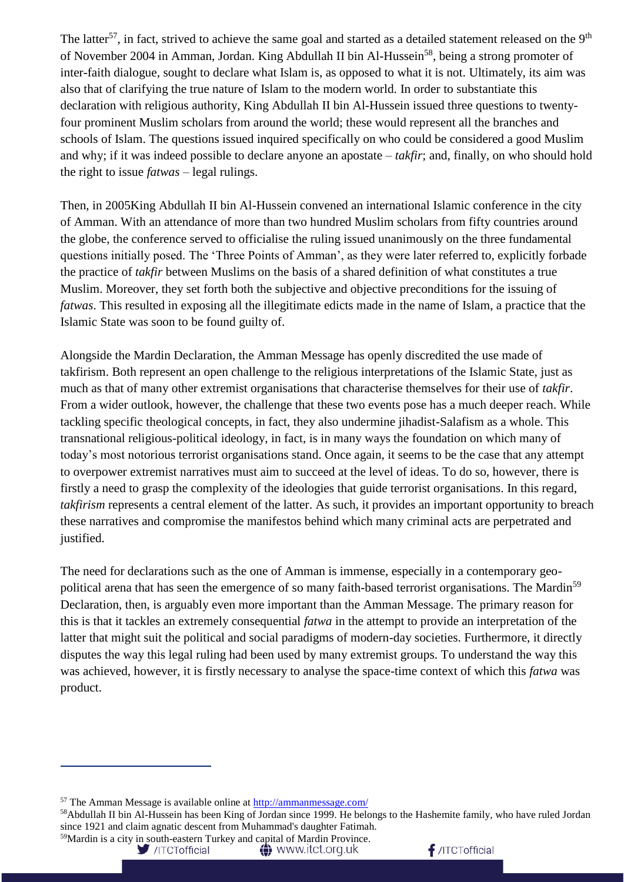The latter<sup>57</sup>, in fact, strived to achieve the same goal and started as a detailed statement released on the 9<sup>th</sup> of November 2004 in Amman, Jordan. King Abdullah II bin Al-Hussein<sup>58</sup>, being a strong promoter of inter-faith dialogue, sought to declare what Islam is, as opposed to what it is not. Ultimately, its aim was also that of clarifying the true nature of Islam to the modern world. In order to substantiate this declaration with religious authority, King Abdullah II bin Al-Hussein issued three questions to twentyfour prominent Muslim scholars from around the world; these would represent all the branches and schools of Islam. The questions issued inquired specifically on who could be considered a good Muslim and why; if it was indeed possible to declare anyone an apostate – *takfir*; and, finally, on who should hold the right to issue *fatwas* – legal rulings.

Then, in 2005King Abdullah II bin Al-Hussein convened an international Islamic conference in the city of Amman. With an attendance of more than two hundred Muslim scholars from fifty countries around the globe, the conference served to officialise the ruling issued unanimously on the three fundamental questions initially posed. The 'Three Points of Amman', as they were later referred to, explicitly forbade the practice of *takfir* between Muslims on the basis of a shared definition of what constitutes a true Muslim. Moreover, they set forth both the subjective and objective preconditions for the issuing of *fatwas*. This resulted in exposing all the illegitimate edicts made in the name of Islam, a practice that the Islamic State was soon to be found guilty of.

Alongside the Mardin Declaration, the Amman Message has openly discredited the use made of takfirism. Both represent an open challenge to the religious interpretations of the Islamic State, just as much as that of many other extremist organisations that characterise themselves for their use of *takfir*. From a wider outlook, however, the challenge that these two events pose has a much deeper reach. While tackling specific theological concepts, in fact, they also undermine jihadist-Salafism as a whole. This transnational religious-political ideology, in fact, is in many ways the foundation on which many of today's most notorious terrorist organisations stand. Once again, it seems to be the case that any attempt to overpower extremist narratives must aim to succeed at the level of ideas. To do so, however, there is firstly a need to grasp the complexity of the ideologies that guide terrorist organisations. In this regard, *takfirism* represents a central element of the latter. As such, it provides an important opportunity to breach these narratives and compromise the manifestos behind which many criminal acts are perpetrated and justified.

The need for declarations such as the one of Amman is immense, especially in a contemporary geopolitical arena that has seen the emergence of so many faith-based terrorist organisations. The Mardin<sup>59</sup> Declaration, then, is arguably even more important than the Amman Message. The primary reason for this is that it tackles an extremely consequential *fatwa* in the attempt to provide an interpretation of the latter that might suit the political and social paradigms of modern-day societies. Furthermore, it directly disputes the way this legal ruling had been used by many extremist groups. To understand the way this was achieved, however, it is firstly necessary to analyse the space-time context of which this *fatwa* was product.

<sup>58</sup>Abdullah II bin Al-Hussein has been King of Jordan since 1999. He belongs to the Hashemite family, who have ruled Jordan since 1921 and claim agnatic descent from Muhammad's daughter Fatimah. 59Mardin is a city in south-eastern Turkey and capital of Mardin Province.

/ITCTofficial

**△** www.itct.org.uk



<sup>57</sup> The Amman Message is available online at<http://ammanmessage.com/>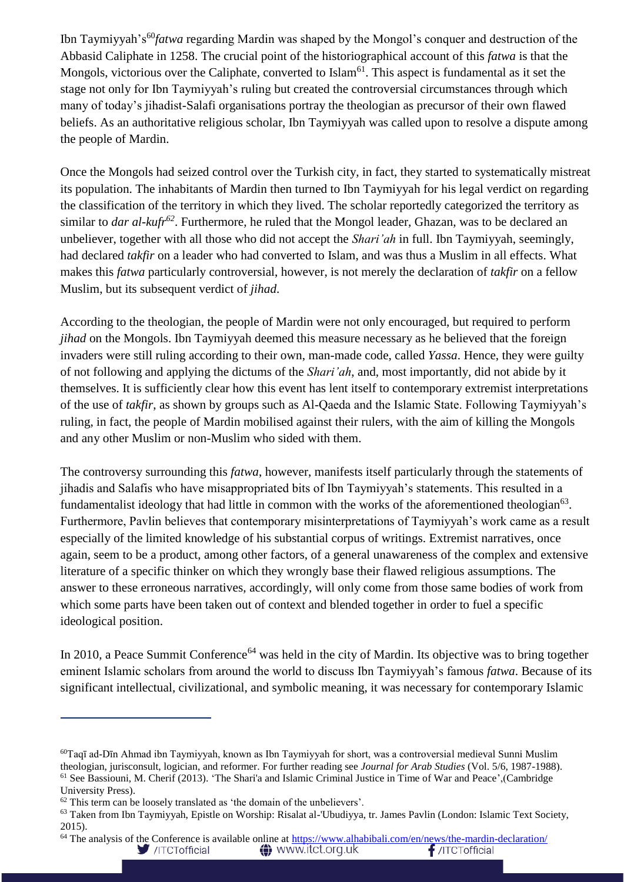Ibn Taymiyyah's<sup>60</sup>*fatwa* regarding Mardin was shaped by the Mongol's conquer and destruction of the Abbasid Caliphate in 1258. The crucial point of the historiographical account of this *fatwa* is that the Mongols, victorious over the Caliphate, converted to Islam<sup>61</sup>. This aspect is fundamental as it set the stage not only for Ibn Taymiyyah's ruling but created the controversial circumstances through which many of today's jihadist-Salafi organisations portray the theologian as precursor of their own flawed beliefs. As an authoritative religious scholar, Ibn Taymiyyah was called upon to resolve a dispute among the people of Mardin.

Once the Mongols had seized control over the Turkish city, in fact, they started to systematically mistreat its population. The inhabitants of Mardin then turned to Ibn Taymiyyah for his legal verdict on regarding the classification of the territory in which they lived. The scholar reportedly categorized the territory as similar to *dar al-kufr<sup>62</sup>*. Furthermore, he ruled that the Mongol leader, Ghazan, was to be declared an unbeliever, together with all those who did not accept the *Shari'ah* in full. Ibn Taymiyyah, seemingly, had declared *takfir* on a leader who had converted to Islam, and was thus a Muslim in all effects. What makes this *fatwa* particularly controversial, however, is not merely the declaration of *takfir* on a fellow Muslim, but its subsequent verdict of *jihad*.

According to the theologian, the people of Mardin were not only encouraged, but required to perform *jihad* on the Mongols. Ibn Taymiyyah deemed this measure necessary as he believed that the foreign invaders were still ruling according to their own, man-made code, called *Yassa*. Hence, they were guilty of not following and applying the dictums of the *Shari'ah*, and, most importantly, did not abide by it themselves. It is sufficiently clear how this event has lent itself to contemporary extremist interpretations of the use of *takfir*, as shown by groups such as Al-Qaeda and the Islamic State. Following Taymiyyah's ruling, in fact, the people of Mardin mobilised against their rulers, with the aim of killing the Mongols and any other Muslim or non-Muslim who sided with them.

The controversy surrounding this *fatwa*, however, manifests itself particularly through the statements of jihadis and Salafis who have misappropriated bits of Ibn Taymiyyah's statements. This resulted in a fundamentalist ideology that had little in common with the works of the aforementioned theologian $63$ . Furthermore, Pavlin believes that contemporary misinterpretations of Taymiyyah's work came as a result especially of the limited knowledge of his substantial corpus of writings. Extremist narratives, once again, seem to be a product, among other factors, of a general unawareness of the complex and extensive literature of a specific thinker on which they wrongly base their flawed religious assumptions. The answer to these erroneous narratives, accordingly, will only come from those same bodies of work from which some parts have been taken out of context and blended together in order to fuel a specific ideological position.

In 2010, a Peace Summit Conference<sup>64</sup> was held in the city of Mardin. Its objective was to bring together eminent Islamic scholars from around the world to discuss Ibn Taymiyyah's famous *fatwa*. Because of its significant intellectual, civilizational, and symbolic meaning, it was necessary for contemporary Islamic

 $64$  The analysis of the Conference is available online at<https://www.alhabibali.com/en/news/the-mardin-declaration/> /ITCTofficial **←** www.itct.org.uk  $f$ /ITCTofficial

<sup>60</sup>Taqī ad-Dīn Ahmad ibn Taymiyyah, known as Ibn Taymiyyah for short, was a controversial medieval Sunni Muslim theologian, jurisconsult, logician, and reformer. For further reading see *Journal for Arab Studies* (Vol. 5/6, 1987-1988). <sup>61</sup> See Bassiouni, M. Cherif (2013). 'The Shari'a and Islamic Criminal Justice in Time of War and Peace',(Cambridge University Press).

<sup>62</sup> This term can be loosely translated as 'the domain of the unbelievers'.

<sup>&</sup>lt;sup>63</sup> Taken from Ibn Taymiyyah, Epistle on Worship: Risalat al-'Ubudiyya, tr. James Pavlin (London: Islamic Text Society, 2015).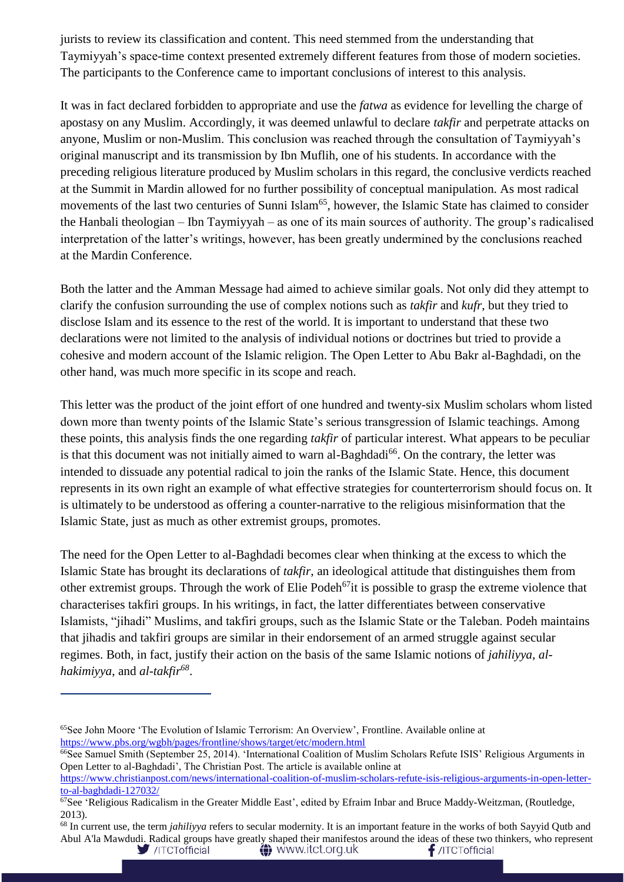jurists to review its classification and content. This need stemmed from the understanding that Taymiyyah's space-time context presented extremely different features from those of modern societies. The participants to the Conference came to important conclusions of interest to this analysis.

It was in fact declared forbidden to appropriate and use the *fatwa* as evidence for levelling the charge of apostasy on any Muslim. Accordingly, it was deemed unlawful to declare *takfir* and perpetrate attacks on anyone, Muslim or non-Muslim. This conclusion was reached through the consultation of Taymiyyah's original manuscript and its transmission by Ibn Muflih, one of his students. In accordance with the preceding religious literature produced by Muslim scholars in this regard, the conclusive verdicts reached at the Summit in Mardin allowed for no further possibility of conceptual manipulation. As most radical movements of the last two centuries of Sunni Islam<sup>65</sup>, however, the Islamic State has claimed to consider the Hanbali theologian – Ibn Taymiyyah – as one of its main sources of authority. The group's radicalised interpretation of the latter's writings, however, has been greatly undermined by the conclusions reached at the Mardin Conference.

Both the latter and the Amman Message had aimed to achieve similar goals. Not only did they attempt to clarify the confusion surrounding the use of complex notions such as *takfir* and *kufr*, but they tried to disclose Islam and its essence to the rest of the world. It is important to understand that these two declarations were not limited to the analysis of individual notions or doctrines but tried to provide a cohesive and modern account of the Islamic religion. The Open Letter to Abu Bakr al-Baghdadi, on the other hand, was much more specific in its scope and reach.

This letter was the product of the joint effort of one hundred and twenty-six Muslim scholars whom listed down more than twenty points of the Islamic State's serious transgression of Islamic teachings. Among these points, this analysis finds the one regarding *takfir* of particular interest. What appears to be peculiar is that this document was not initially aimed to warn al-Baghdadi<sup>66</sup>. On the contrary, the letter was intended to dissuade any potential radical to join the ranks of the Islamic State. Hence, this document represents in its own right an example of what effective strategies for counterterrorism should focus on. It is ultimately to be understood as offering a counter-narrative to the religious misinformation that the Islamic State, just as much as other extremist groups, promotes.

The need for the Open Letter to al-Baghdadi becomes clear when thinking at the excess to which the Islamic State has brought its declarations of *takfir*, an ideological attitude that distinguishes them from other extremist groups. Through the work of Elie Podeh<sup>67</sup>it is possible to grasp the extreme violence that characterises takfiri groups. In his writings, in fact, the latter differentiates between conservative Islamists, "jihadi" Muslims, and takfiri groups, such as the Islamic State or the Taleban. Podeh maintains that jihadis and takfiri groups are similar in their endorsement of an armed struggle against secular regimes. Both, in fact, justify their action on the basis of the same Islamic notions of *jahiliyya*, *alhakimiyya*, and *al-takfir<sup>68</sup>* .

<sup>65</sup>See John Moore 'The Evolution of Islamic Terrorism: An Overview', Frontline. Available online at <https://www.pbs.org/wgbh/pages/frontline/shows/target/etc/modern.html>

<sup>&</sup>lt;sup>66</sup>See Samuel Smith (September 25, 2014). 'International Coalition of Muslim Scholars Refute ISIS' Religious Arguments in Open Letter to al-Baghdadi', The Christian Post. The article is available online at

[https://www.christianpost.com/news/international-coalition-of-muslim-scholars-refute-isis-religious-arguments-in-open-letter](https://www.christianpost.com/news/international-coalition-of-muslim-scholars-refute-isis-religious-arguments-in-open-letter-to-al-baghdadi-127032/)[to-al-baghdadi-127032/](https://www.christianpost.com/news/international-coalition-of-muslim-scholars-refute-isis-religious-arguments-in-open-letter-to-al-baghdadi-127032/)

 $67$ See 'Religious Radicalism in the Greater Middle East', edited by Efraim Inbar and Bruce Maddy-Weitzman, (Routledge, 2013).

<sup>68</sup> In current use, the term *jahiliyya* refers to secular modernity. It is an important feature in the works of both Sayyid Qutb and Abul A'la Mawdudi. Radical groups have greatly shaped their manifestos around the ideas of these two thinkers, who represent /ITCTofficial **△** www.itct.org.uk  $f$ /ITCTofficial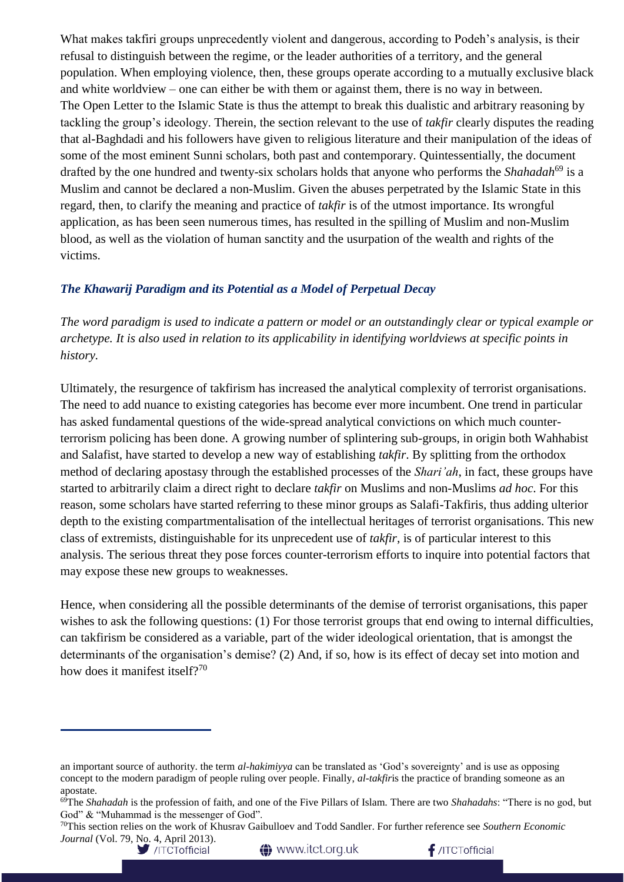What makes takfiri groups unprecedently violent and dangerous, according to Podeh's analysis, is their refusal to distinguish between the regime, or the leader authorities of a territory, and the general population. When employing violence, then, these groups operate according to a mutually exclusive black and white worldview – one can either be with them or against them, there is no way in between. The Open Letter to the Islamic State is thus the attempt to break this dualistic and arbitrary reasoning by tackling the group's ideology. Therein, the section relevant to the use of *takfir* clearly disputes the reading that al-Baghdadi and his followers have given to religious literature and their manipulation of the ideas of some of the most eminent Sunni scholars, both past and contemporary. Quintessentially, the document drafted by the one hundred and twenty-six scholars holds that anyone who performs the *Shahadah*<sup>69</sup> is a Muslim and cannot be declared a non-Muslim. Given the abuses perpetrated by the Islamic State in this regard, then, to clarify the meaning and practice of *takfir* is of the utmost importance. Its wrongful application, as has been seen numerous times, has resulted in the spilling of Muslim and non-Muslim blood, as well as the violation of human sanctity and the usurpation of the wealth and rights of the victims.

### *The Khawarij Paradigm and its Potential as a Model of Perpetual Decay*

*The word paradigm is used to indicate a pattern or model or an outstandingly clear or typical example or archetype. It is also used in relation to its applicability in identifying worldviews at specific points in history.* 

Ultimately, the resurgence of takfirism has increased the analytical complexity of terrorist organisations. The need to add nuance to existing categories has become ever more incumbent. One trend in particular has asked fundamental questions of the wide-spread analytical convictions on which much counterterrorism policing has been done. A growing number of splintering sub-groups, in origin both Wahhabist and Salafist, have started to develop a new way of establishing *takfir*. By splitting from the orthodox method of declaring apostasy through the established processes of the *Shari'ah*, in fact, these groups have started to arbitrarily claim a direct right to declare *takfir* on Muslims and non-Muslims *ad hoc*. For this reason, some scholars have started referring to these minor groups as Salafi-Takfiris, thus adding ulterior depth to the existing compartmentalisation of the intellectual heritages of terrorist organisations. This new class of extremists, distinguishable for its unprecedent use of *takfir*, is of particular interest to this analysis. The serious threat they pose forces counter-terrorism efforts to inquire into potential factors that may expose these new groups to weaknesses.

Hence, when considering all the possible determinants of the demise of terrorist organisations, this paper wishes to ask the following questions: (1) For those terrorist groups that end owing to internal difficulties, can takfirism be considered as a variable, part of the wider ideological orientation, that is amongst the determinants of the organisation's demise? (2) And, if so, how is its effect of decay set into motion and how does it manifest itself?<sup>70</sup>

**1** www.itct.org.uk

an important source of authority. the term *al-hakimiyya* can be translated as 'God's sovereignty' and is use as opposing concept to the modern paradigm of people ruling over people. Finally, *al-takfir*is the practice of branding someone as an apostate.

<sup>69</sup>The *Shahadah* is the profession of faith, and one of the Five Pillars of Islam. There are two *Shahadahs*: "There is no god, but God" & "Muhammad is the messenger of God".

<sup>70</sup>This section relies on the work of Khusrav Gaibulloev and Todd Sandler. For further reference see *Southern Economic Journal* (Vol. 79, No. 4, April 2013).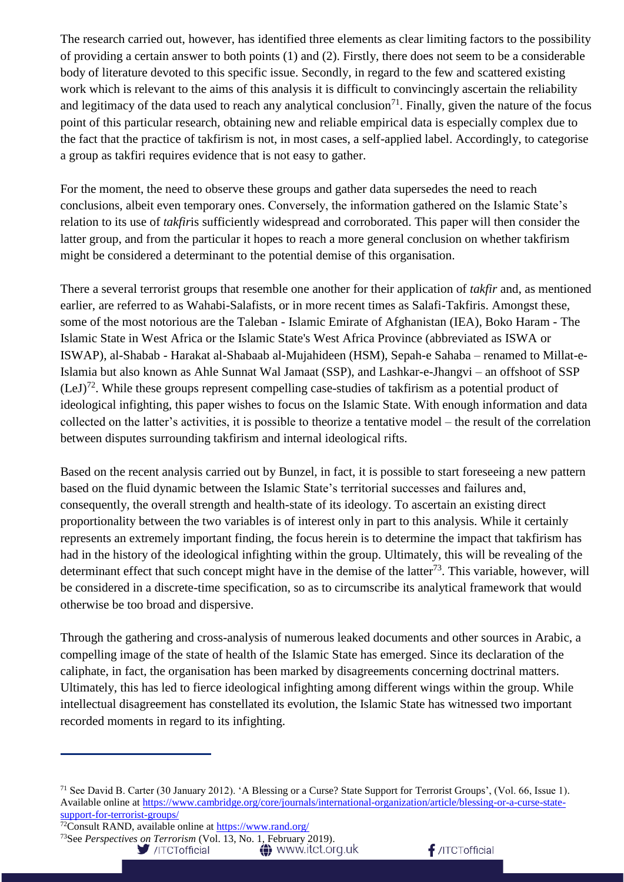The research carried out, however, has identified three elements as clear limiting factors to the possibility of providing a certain answer to both points (1) and (2). Firstly, there does not seem to be a considerable body of literature devoted to this specific issue. Secondly, in regard to the few and scattered existing work which is relevant to the aims of this analysis it is difficult to convincingly ascertain the reliability and legitimacy of the data used to reach any analytical conclusion<sup>71</sup>. Finally, given the nature of the focus point of this particular research, obtaining new and reliable empirical data is especially complex due to the fact that the practice of takfirism is not, in most cases, a self-applied label. Accordingly, to categorise a group as takfiri requires evidence that is not easy to gather.

For the moment, the need to observe these groups and gather data supersedes the need to reach conclusions, albeit even temporary ones. Conversely, the information gathered on the Islamic State's relation to its use of *takfir*is sufficiently widespread and corroborated. This paper will then consider the latter group, and from the particular it hopes to reach a more general conclusion on whether takfirism might be considered a determinant to the potential demise of this organisation.

There a several terrorist groups that resemble one another for their application of *takfir* and, as mentioned earlier, are referred to as Wahabi-Salafists, or in more recent times as Salafi-Takfiris. Amongst these, some of the most notorious are the Taleban - Islamic Emirate of Afghanistan (IEA), Boko Haram - The Islamic State in West Africa or the Islamic State's West Africa Province (abbreviated as ISWA or ISWAP), al-Shabab - Harakat al-Shabaab al-Mujahideen (HSM), Sepah-e Sahaba – renamed to Millat-e-Islamia but also known as Ahle Sunnat Wal Jamaat (SSP), and Lashkar-e-Jhangvi – an offshoot of SSP  $(LeJ)<sup>72</sup>$ . While these groups represent compelling case-studies of takfirism as a potential product of ideological infighting, this paper wishes to focus on the Islamic State. With enough information and data collected on the latter's activities, it is possible to theorize a tentative model – the result of the correlation between disputes surrounding takfirism and internal ideological rifts.

Based on the recent analysis carried out by Bunzel, in fact, it is possible to start foreseeing a new pattern based on the fluid dynamic between the Islamic State's territorial successes and failures and, consequently, the overall strength and health-state of its ideology. To ascertain an existing direct proportionality between the two variables is of interest only in part to this analysis. While it certainly represents an extremely important finding, the focus herein is to determine the impact that takfirism has had in the history of the ideological infighting within the group. Ultimately, this will be revealing of the determinant effect that such concept might have in the demise of the latter<sup>73</sup>. This variable, however, will be considered in a discrete-time specification, so as to circumscribe its analytical framework that would otherwise be too broad and dispersive.

Through the gathering and cross-analysis of numerous leaked documents and other sources in Arabic, a compelling image of the state of health of the Islamic State has emerged. Since its declaration of the caliphate, in fact, the organisation has been marked by disagreements concerning doctrinal matters. Ultimately, this has led to fierce ideological infighting among different wings within the group. While intellectual disagreement has constellated its evolution, the Islamic State has witnessed two important recorded moments in regard to its infighting.

72Consult RAND, available online at<https://www.rand.org/>

<sup>73</sup>See *Perspectives on Terrorism* (Vol. 13, No. 1, February 2019).<br>//TCTofficial **13. W** WWW.itct.org.uk

/ITCTofficial

<sup>&</sup>lt;sup>71</sup> See David B. Carter (30 January 2012). 'A Blessing or a Curse? State Support for Terrorist Groups', (Vol. 66, Issue 1). Available online at [https://www.cambridge.org/core/journals/international-organization/article/blessing-or-a-curse-state](https://www.cambridge.org/core/journals/international-organization/article/blessing-or-a-curse-state-support-for-terrorist-groups/)[support-for-terrorist-groups/](https://www.cambridge.org/core/journals/international-organization/article/blessing-or-a-curse-state-support-for-terrorist-groups/)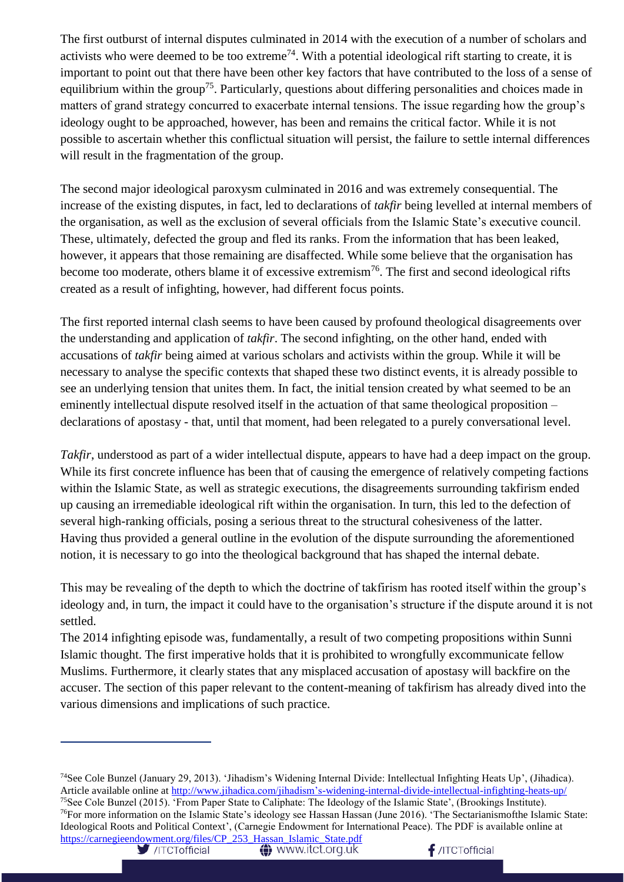The first outburst of internal disputes culminated in 2014 with the execution of a number of scholars and activists who were deemed to be too extreme<sup>74</sup>. With a potential ideological rift starting to create, it is important to point out that there have been other key factors that have contributed to the loss of a sense of equilibrium within the group<sup>75</sup>. Particularly, questions about differing personalities and choices made in matters of grand strategy concurred to exacerbate internal tensions. The issue regarding how the group's ideology ought to be approached, however, has been and remains the critical factor. While it is not possible to ascertain whether this conflictual situation will persist, the failure to settle internal differences will result in the fragmentation of the group.

The second major ideological paroxysm culminated in 2016 and was extremely consequential. The increase of the existing disputes, in fact, led to declarations of *takfir* being levelled at internal members of the organisation, as well as the exclusion of several officials from the Islamic State's executive council. These, ultimately, defected the group and fled its ranks. From the information that has been leaked, however, it appears that those remaining are disaffected. While some believe that the organisation has become too moderate, others blame it of excessive extremism<sup>76</sup>. The first and second ideological rifts created as a result of infighting, however, had different focus points.

The first reported internal clash seems to have been caused by profound theological disagreements over the understanding and application of *takfir*. The second infighting, on the other hand, ended with accusations of *takfir* being aimed at various scholars and activists within the group. While it will be necessary to analyse the specific contexts that shaped these two distinct events, it is already possible to see an underlying tension that unites them. In fact, the initial tension created by what seemed to be an eminently intellectual dispute resolved itself in the actuation of that same theological proposition – declarations of apostasy - that, until that moment, had been relegated to a purely conversational level.

*Takfir*, understood as part of a wider intellectual dispute, appears to have had a deep impact on the group. While its first concrete influence has been that of causing the emergence of relatively competing factions within the Islamic State, as well as strategic executions, the disagreements surrounding takfirism ended up causing an irremediable ideological rift within the organisation. In turn, this led to the defection of several high-ranking officials, posing a serious threat to the structural cohesiveness of the latter. Having thus provided a general outline in the evolution of the dispute surrounding the aforementioned notion, it is necessary to go into the theological background that has shaped the internal debate.

This may be revealing of the depth to which the doctrine of takfirism has rooted itself within the group's ideology and, in turn, the impact it could have to the organisation's structure if the dispute around it is not settled.

The 2014 infighting episode was, fundamentally, a result of two competing propositions within Sunni Islamic thought. The first imperative holds that it is prohibited to wrongfully excommunicate fellow Muslims. Furthermore, it clearly states that any misplaced accusation of apostasy will backfire on the accuser. The section of this paper relevant to the content-meaning of takfirism has already dived into the various dimensions and implications of such practice.

<sup>74</sup>See Cole Bunzel (January 29, 2013). 'Jihadism's Widening Internal Divide: Intellectual Infighting Heats Up', (Jihadica). Article available online at [http://www.jihadica.com/jihadism's-widening-internal-divide-intellectual-infighting-heats-up/](http://www.jihadica.com/jihadism) <sup>75</sup>See Cole Bunzel (2015). 'From Paper State to Caliphate: The Ideology of the Islamic State', (Brookings Institute). <sup>76</sup>For more information on the Islamic State's ideology see Hassan Hassan (June 2016). 'The Sectarianismofthe Islamic State: Ideological Roots and Political Context', (Carnegie Endowment for International Peace). The PDF is available online at [https://carnegieendowment.org/files/CP\\_253\\_Hassan\\_Islamic\\_State.pdf](https://carnegieendowment.org/files/CP_253_Hassan_Islamic_State.pdf)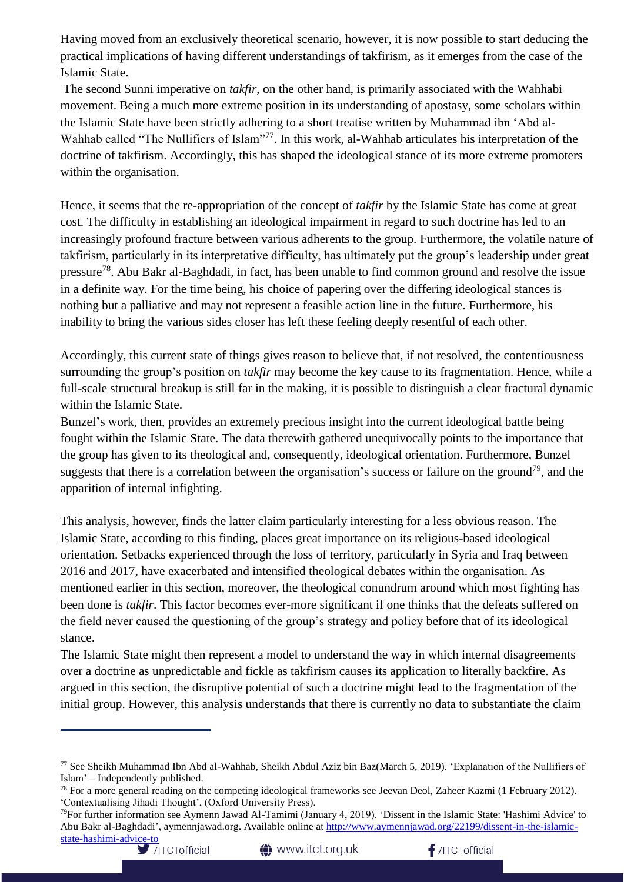Having moved from an exclusively theoretical scenario, however, it is now possible to start deducing the practical implications of having different understandings of takfirism, as it emerges from the case of the Islamic State.

The second Sunni imperative on *takfir*, on the other hand, is primarily associated with the Wahhabi movement. Being a much more extreme position in its understanding of apostasy, some scholars within the Islamic State have been strictly adhering to a short treatise written by Muhammad ibn 'Abd al-Wahhab called "The Nullifiers of Islam"<sup>77</sup>. In this work, al-Wahhab articulates his interpretation of the doctrine of takfirism. Accordingly, this has shaped the ideological stance of its more extreme promoters within the organisation.

Hence, it seems that the re-appropriation of the concept of *takfir* by the Islamic State has come at great cost. The difficulty in establishing an ideological impairment in regard to such doctrine has led to an increasingly profound fracture between various adherents to the group. Furthermore, the volatile nature of takfirism, particularly in its interpretative difficulty, has ultimately put the group's leadership under great pressure<sup>78</sup>. Abu Bakr al-Baghdadi, in fact, has been unable to find common ground and resolve the issue in a definite way. For the time being, his choice of papering over the differing ideological stances is nothing but a palliative and may not represent a feasible action line in the future. Furthermore, his inability to bring the various sides closer has left these feeling deeply resentful of each other.

Accordingly, this current state of things gives reason to believe that, if not resolved, the contentiousness surrounding the group's position on *takfir* may become the key cause to its fragmentation. Hence, while a full-scale structural breakup is still far in the making, it is possible to distinguish a clear fractural dynamic within the Islamic State.

Bunzel's work, then, provides an extremely precious insight into the current ideological battle being fought within the Islamic State. The data therewith gathered unequivocally points to the importance that the group has given to its theological and, consequently, ideological orientation. Furthermore, Bunzel suggests that there is a correlation between the organisation's success or failure on the ground<sup>79</sup>, and the apparition of internal infighting.

This analysis, however, finds the latter claim particularly interesting for a less obvious reason. The Islamic State, according to this finding, places great importance on its religious-based ideological orientation. Setbacks experienced through the loss of territory, particularly in Syria and Iraq between 2016 and 2017, have exacerbated and intensified theological debates within the organisation. As mentioned earlier in this section, moreover, the theological conundrum around which most fighting has been done is *takfir*. This factor becomes ever-more significant if one thinks that the defeats suffered on the field never caused the questioning of the group's strategy and policy before that of its ideological stance.

The Islamic State might then represent a model to understand the way in which internal disagreements over a doctrine as unpredictable and fickle as takfirism causes its application to literally backfire. As argued in this section, the disruptive potential of such a doctrine might lead to the fragmentation of the initial group. However, this analysis understands that there is currently no data to substantiate the claim

<sup>77</sup> See Sheikh Muhammad Ibn Abd al-Wahhab, Sheikh Abdul Aziz bin Baz(March 5, 2019). 'Explanation of the Nullifiers of Islam' – Independently published.

<sup>&</sup>lt;sup>78</sup> For a more general reading on the competing ideological frameworks see Jeevan Deol, Zaheer Kazmi (1 February 2012). 'Contextualising Jihadi Thought', (Oxford University Press).

<sup>79</sup>For further information see Aymenn Jawad Al-Tamimi (January 4, 2019). 'Dissent in the Islamic State: 'Hashimi Advice' to Abu Bakr al-Baghdadi', aymennjawad.org. Available online at [http://www.aymennjawad.org/22199/dissent-in-the-islamic](http://www.aymennjawad.org/22199/dissent-in-the-islamic-state-hashimi-advice-to)[state-hashimi-advice-to](http://www.aymennjawad.org/22199/dissent-in-the-islamic-state-hashimi-advice-to)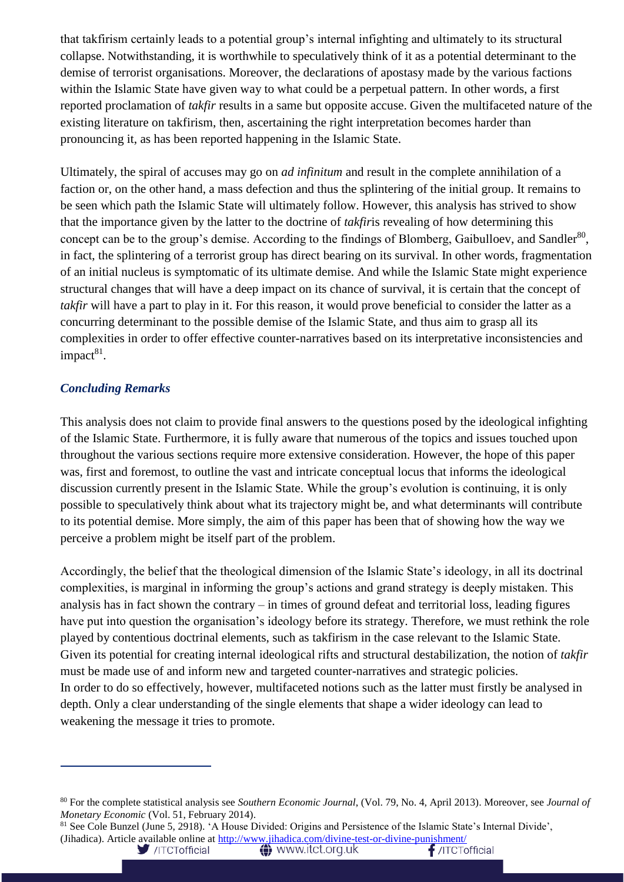that takfirism certainly leads to a potential group's internal infighting and ultimately to its structural collapse. Notwithstanding, it is worthwhile to speculatively think of it as a potential determinant to the demise of terrorist organisations. Moreover, the declarations of apostasy made by the various factions within the Islamic State have given way to what could be a perpetual pattern. In other words, a first reported proclamation of *takfir* results in a same but opposite accuse. Given the multifaceted nature of the existing literature on takfirism, then, ascertaining the right interpretation becomes harder than pronouncing it, as has been reported happening in the Islamic State.

Ultimately, the spiral of accuses may go on *ad infinitum* and result in the complete annihilation of a faction or, on the other hand, a mass defection and thus the splintering of the initial group. It remains to be seen which path the Islamic State will ultimately follow. However, this analysis has strived to show that the importance given by the latter to the doctrine of *takfir*is revealing of how determining this concept can be to the group's demise. According to the findings of Blomberg, Gaibulloev, and Sandler $^{80}$ , in fact, the splintering of a terrorist group has direct bearing on its survival. In other words, fragmentation of an initial nucleus is symptomatic of its ultimate demise. And while the Islamic State might experience structural changes that will have a deep impact on its chance of survival, it is certain that the concept of *takfir* will have a part to play in it. For this reason, it would prove beneficial to consider the latter as a concurring determinant to the possible demise of the Islamic State, and thus aim to grasp all its complexities in order to offer effective counter-narratives based on its interpretative inconsistencies and impact<sup>81</sup>.

### *Concluding Remarks*

This analysis does not claim to provide final answers to the questions posed by the ideological infighting of the Islamic State. Furthermore, it is fully aware that numerous of the topics and issues touched upon throughout the various sections require more extensive consideration. However, the hope of this paper was, first and foremost, to outline the vast and intricate conceptual locus that informs the ideological discussion currently present in the Islamic State. While the group's evolution is continuing, it is only possible to speculatively think about what its trajectory might be, and what determinants will contribute to its potential demise. More simply, the aim of this paper has been that of showing how the way we perceive a problem might be itself part of the problem.

Accordingly, the belief that the theological dimension of the Islamic State's ideology, in all its doctrinal complexities, is marginal in informing the group's actions and grand strategy is deeply mistaken. This analysis has in fact shown the contrary – in times of ground defeat and territorial loss, leading figures have put into question the organisation's ideology before its strategy. Therefore, we must rethink the role played by contentious doctrinal elements, such as takfirism in the case relevant to the Islamic State. Given its potential for creating internal ideological rifts and structural destabilization, the notion of *takfir* must be made use of and inform new and targeted counter-narratives and strategic policies. In order to do so effectively, however, multifaceted notions such as the latter must firstly be analysed in depth. Only a clear understanding of the single elements that shape a wider ideology can lead to weakening the message it tries to promote.

<sup>80</sup> For the complete statistical analysis see *Southern Economic Journal*, (Vol. 79, No. 4, April 2013). Moreover, see *Journal of Monetary Economic* (Vol. 51, February 2014).

<sup>81</sup> See Cole Bunzel (June 5, 2918). 'A House Divided: Origins and Persistence of the Islamic State's Internal Divide', (Jihadica). Article available online at<http://www.jihadica.com/divine-test-or-divine-punishment/>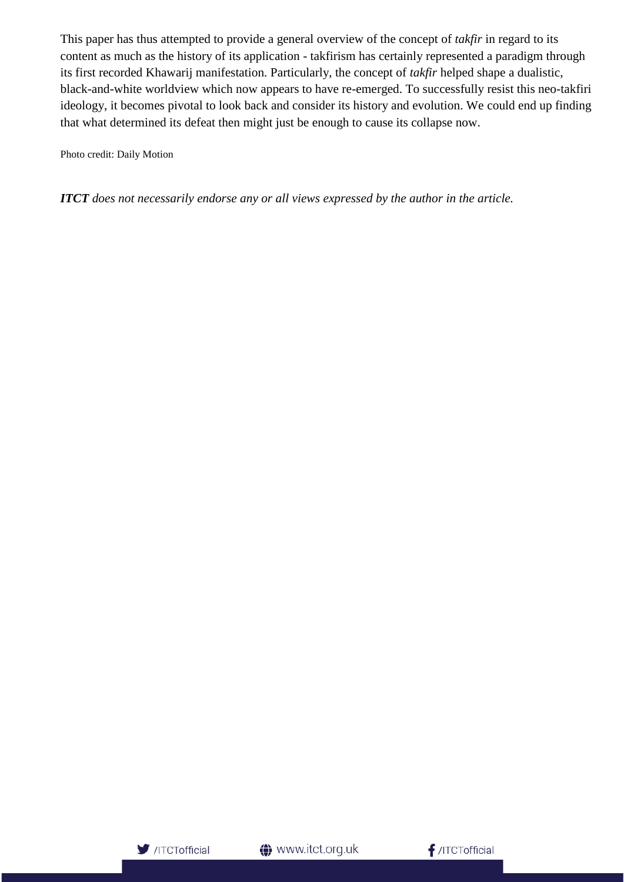This paper has thus attempted to provide a general overview of the concept of *takfir* in regard to its content as much as the history of its application - takfirism has certainly represented a paradigm through its first recorded Khawarij manifestation. Particularly, the concept of *takfir* helped shape a dualistic, black-and-white worldview which now appears to have re-emerged. To successfully resist this neo-takfiri ideology, it becomes pivotal to look back and consider its history and evolution. We could end up finding that what determined its defeat then might just be enough to cause its collapse now.

Photo credit: Daily Motion

*ITCT does not necessarily endorse any or all views expressed by the author in the article.*